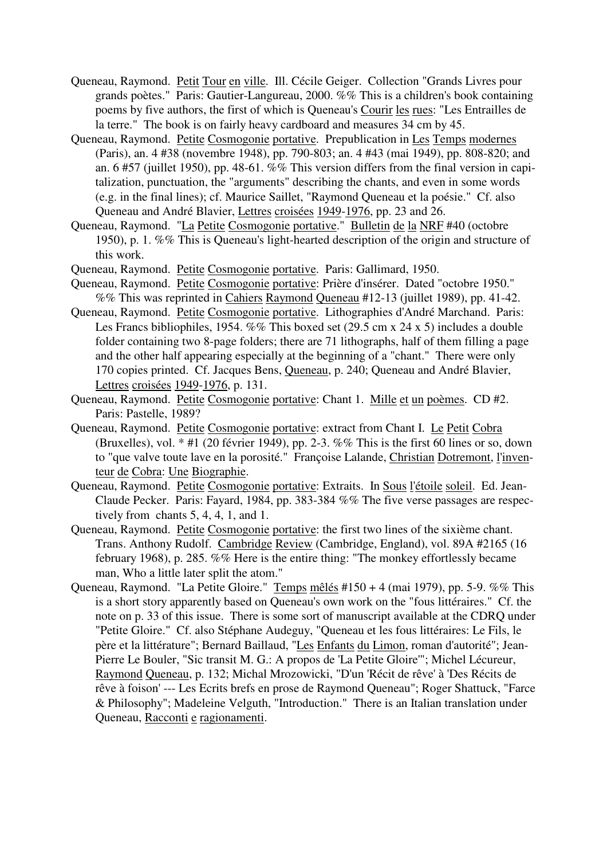- Queneau, Raymond. Petit Tour en ville. Ill. Cécile Geiger. Collection "Grands Livres pour grands poètes." Paris: Gautier-Langureau, 2000. %% This is a children's book containing poems by five authors, the first of which is Queneau's Courir les rues: "Les Entrailles de la terre." The book is on fairly heavy cardboard and measures 34 cm by 45.
- Queneau, Raymond. Petite Cosmogonie portative. Prepublication in Les Temps modernes (Paris), an. 4 #38 (novembre 1948), pp. 790-803; an. 4 #43 (mai 1949), pp. 808-820; and an. 6 #57 (juillet 1950), pp. 48-61. %% This version differs from the final version in capitalization, punctuation, the "arguments" describing the chants, and even in some words (e.g. in the final lines); cf. Maurice Saillet, "Raymond Queneau et la poésie." Cf. also Queneau and André Blavier, Lettres croisées 1949-1976, pp. 23 and 26.
- Queneau, Raymond. "La Petite Cosmogonie portative." Bulletin de la NRF #40 (octobre 1950), p. 1. %% This is Queneau's light-hearted description of the origin and structure of this work.
- Queneau, Raymond. Petite Cosmogonie portative. Paris: Gallimard, 1950.
- Queneau, Raymond. Petite Cosmogonie portative: Prière d'insérer. Dated "octobre 1950." %% This was reprinted in Cahiers Raymond Queneau #12-13 (juillet 1989), pp. 41-42.
- Queneau, Raymond. Petite Cosmogonie portative. Lithographies d'André Marchand. Paris: Les Francs bibliophiles, 1954. %% This boxed set (29.5 cm x 24 x 5) includes a double folder containing two 8-page folders; there are 71 lithographs, half of them filling a page and the other half appearing especially at the beginning of a "chant." There were only 170 copies printed. Cf. Jacques Bens, Queneau, p. 240; Queneau and André Blavier, Lettres croisées 1949-1976, p. 131.
- Queneau, Raymond. Petite Cosmogonie portative: Chant 1. Mille et un poèmes. CD #2. Paris: Pastelle, 1989?
- Queneau, Raymond. Petite Cosmogonie portative: extract from Chant I. Le Petit Cobra (Bruxelles), vol.  $*$  #1 (20 février 1949), pp. 2-3. %% This is the first 60 lines or so, down to "que valve toute lave en la porosité." Françoise Lalande, Christian Dotremont, l'inventeur de Cobra: Une Biographie.
- Queneau, Raymond. Petite Cosmogonie portative: Extraits. In Sous l'étoile soleil. Ed. Jean-Claude Pecker. Paris: Fayard, 1984, pp. 383-384 %% The five verse passages are respectively from chants 5, 4, 4, 1, and 1.
- Queneau, Raymond. Petite Cosmogonie portative: the first two lines of the sixième chant. Trans. Anthony Rudolf. Cambridge Review (Cambridge, England), vol. 89A #2165 (16 february 1968), p. 285. %% Here is the entire thing: "The monkey effortlessly became man, Who a little later split the atom."
- Queneau, Raymond. "La Petite Gloire." Temps mêlés #150 + 4 (mai 1979), pp. 5-9. %% This is a short story apparently based on Queneau's own work on the "fous littéraires." Cf. the note on p. 33 of this issue. There is some sort of manuscript available at the CDRQ under "Petite Gloire." Cf. also Stéphane Audeguy, "Queneau et les fous littéraires: Le Fils, le père et la littérature"; Bernard Baillaud, "Les Enfants du Limon, roman d'autorité"; Jean-Pierre Le Bouler, "Sic transit M. G.: A propos de 'La Petite Gloire'"; Michel Lécureur, Raymond Queneau, p. 132; Michal Mrozowicki, "D'un 'Récit de rêve' à 'Des Récits de rêve à foison' --- Les Ecrits brefs en prose de Raymond Queneau"; Roger Shattuck, "Farce & Philosophy"; Madeleine Velguth, "Introduction." There is an Italian translation under Queneau, Racconti e ragionamenti.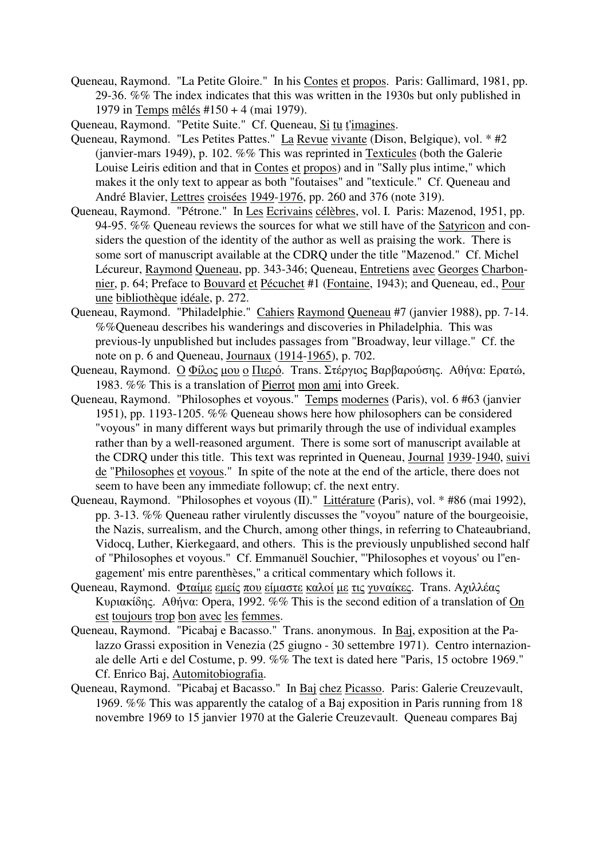- Queneau, Raymond. "La Petite Gloire." In his Contes et propos. Paris: Gallimard, 1981, pp. 29-36. %% The index indicates that this was written in the 1930s but only published in 1979 in Temps mêlés #150 + 4 (mai 1979).
- Queneau, Raymond. "Petite Suite." Cf. Queneau, Si tu t'imagines.
- Queneau, Raymond. "Les Petites Pattes." La Revue vivante (Dison, Belgique), vol. \* #2 (janvier-mars 1949), p. 102. %% This was reprinted in Texticules (both the Galerie Louise Leiris edition and that in Contes et propos) and in "Sally plus intime," which makes it the only text to appear as both "foutaises" and "texticule." Cf. Queneau and André Blavier, Lettres croisées 1949-1976, pp. 260 and 376 (note 319).
- Queneau, Raymond. "Pétrone." In Les Ecrivains célèbres, vol. I. Paris: Mazenod, 1951, pp. 94-95. %% Queneau reviews the sources for what we still have of the Satyricon and considers the question of the identity of the author as well as praising the work. There is some sort of manuscript available at the CDRQ under the title "Mazenod." Cf. Michel Lécureur, Raymond Queneau, pp. 343-346; Queneau, Entretiens avec Georges Charbonnier, p. 64; Preface to Bouvard et Pécuchet #1 (Fontaine, 1943); and Queneau, ed., Pour une bibliothèque idéale, p. 272.
- Queneau, Raymond. "Philadelphie." Cahiers Raymond Queneau #7 (janvier 1988), pp. 7-14. %%Queneau describes his wanderings and discoveries in Philadelphia. This was previous-ly unpublished but includes passages from "Broadway, leur village." Cf. the note on p. 6 and Queneau, Journaux (1914-1965), p. 702.
- Queneau, Raymond. Ο Φίλoς µoυ o Πιερό. Trans. Στέργιoς Βαρβαρoύσης. Αθήvα: Ερατώ, 1983. %% This is a translation of Pierrot mon ami into Greek.
- Queneau, Raymond. "Philosophes et voyous." Temps modernes (Paris), vol. 6 #63 (janvier 1951), pp. 1193-1205. %% Queneau shows here how philosophers can be considered "voyous" in many different ways but primarily through the use of individual examples rather than by a well-reasoned argument. There is some sort of manuscript available at the CDRQ under this title. This text was reprinted in Queneau, Journal 1939-1940, suivi de "Philosophes et voyous." In spite of the note at the end of the article, there does not seem to have been any immediate followup; cf. the next entry.
- Queneau, Raymond. "Philosophes et voyous (II)." Littérature (Paris), vol. \* #86 (mai 1992), pp. 3-13. %% Queneau rather virulently discusses the "voyou" nature of the bourgeoisie, the Nazis, surrealism, and the Church, among other things, in referring to Chateaubriand, Vidocq, Luther, Kierkegaard, and others. This is the previously unpublished second half of "Philosophes et voyous." Cf. Emmanuël Souchier, "'Philosophes et voyous' ou l''engagement' mis entre parenthèses," a critical commentary which follows it.
- Queneau, Raymond. Φταίµε εµείς πoυ είµαστε καλoί µε τις γυvαίκες. Trans. Αχιλλέας Κυριακίδης. Αθήvα: Opera, 1992. %% This is the second edition of a translation of On est toujours trop bon avec les femmes.
- Queneau, Raymond. "Picabaj e Bacasso." Trans. anonymous. In Baj, exposition at the Palazzo Grassi exposition in Venezia (25 giugno - 30 settembre 1971). Centro internazionale delle Arti e del Costume, p. 99. %% The text is dated here "Paris, 15 octobre 1969." Cf. Enrico Baj, Automitobiografia.
- Queneau, Raymond. "Picabaj et Bacasso." In Baj chez Picasso. Paris: Galerie Creuzevault, 1969. %% This was apparently the catalog of a Baj exposition in Paris running from 18 novembre 1969 to 15 janvier 1970 at the Galerie Creuzevault. Queneau compares Baj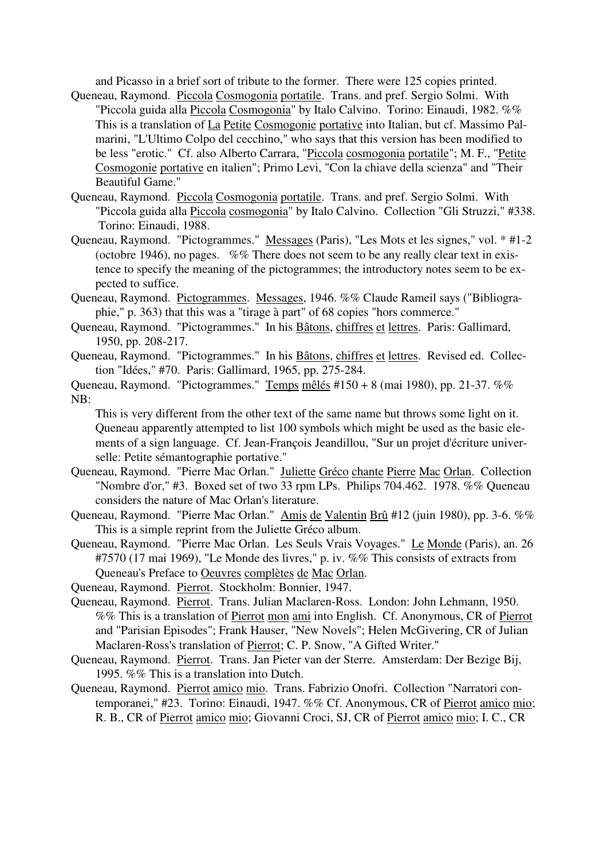and Picasso in a brief sort of tribute to the former. There were 125 copies printed.

- Queneau, Raymond. Piccola Cosmogonia portatile. Trans. and pref. Sergio Solmi. With "Piccola guida alla Piccola Cosmogonia" by Italo Calvino. Torino: Einaudi, 1982. %% This is a translation of La Petite Cosmogonie portative into Italian, but cf. Massimo Palmarini, "L'Ultimo Colpo del cecchino," who says that this version has been modified to be less "erotic." Cf. also Alberto Carrara, "Piccola cosmogonia portatile"; M. F., "Petite Cosmogonie portative en italien"; Primo Levi, "Con la chiave della scienza" and "Their Beautiful Game."
- Queneau, Raymond. Piccola Cosmogonia portatile. Trans. and pref. Sergio Solmi. With "Piccola guida alla Piccola cosmogonia" by Italo Calvino. Collection "Gli Struzzi," #338. Torino: Einaudi, 1988.
- Queneau, Raymond. "Pictogrammes." Messages (Paris), "Les Mots et les signes," vol. \* #1-2 (octobre 1946), no pages. %% There does not seem to be any really clear text in existence to specify the meaning of the pictogrammes; the introductory notes seem to be expected to suffice.
- Queneau, Raymond. Pictogrammes. Messages, 1946. %% Claude Rameil says ("Bibliographie," p. 363) that this was a "tirage à part" of 68 copies "hors commerce."
- Queneau, Raymond. "Pictogrammes." In his Bâtons, chiffres et lettres. Paris: Gallimard, 1950, pp. 208-217.
- Queneau, Raymond. "Pictogrammes." In his Bâtons, chiffres et lettres. Revised ed. Collection "Idées," #70. Paris: Gallimard, 1965, pp. 275-284.
- Queneau, Raymond. "Pictogrammes." Temps mêlés #150 + 8 (mai 1980), pp. 21-37. %% NB:

This is very different from the other text of the same name but throws some light on it. Queneau apparently attempted to list 100 symbols which might be used as the basic elements of a sign language. Cf. Jean-François Jeandillou, "Sur un projet d'écriture universelle: Petite sémantographie portative."

- Queneau, Raymond. "Pierre Mac Orlan." Juliette Gréco chante Pierre Mac Orlan. Collection "Nombre d'or," #3. Boxed set of two 33 rpm LPs. Philips 704.462. 1978. %% Queneau considers the nature of Mac Orlan's literature.
- Queneau, Raymond. "Pierre Mac Orlan." Amis de Valentin Brû #12 (juin 1980), pp. 3-6. %% This is a simple reprint from the Juliette Gréco album.
- Queneau, Raymond. "Pierre Mac Orlan. Les Seuls Vrais Voyages." Le Monde (Paris), an. 26 #7570 (17 mai 1969), "Le Monde des livres," p. iv. %% This consists of extracts from Queneau's Preface to Oeuvres complètes de Mac Orlan.
- Queneau, Raymond. Pierrot. Stockholm: Bonnier, 1947.
- Queneau, Raymond. Pierrot. Trans. Julian Maclaren-Ross. London: John Lehmann, 1950. %% This is a translation of Pierrot mon ami into English. Cf. Anonymous, CR of Pierrot and "Parisian Episodes"; Frank Hauser, "New Novels"; Helen McGivering, CR of Julian Maclaren-Ross's translation of Pierrot; C. P. Snow, "A Gifted Writer."
- Queneau, Raymond. Pierrot. Trans. Jan Pieter van der Sterre. Amsterdam: Der Bezige Bij, 1995. %% This is a translation into Dutch.
- Queneau, Raymond. Pierrot amico mio. Trans. Fabrizio Onofri. Collection "Narratori contemporanei," #23. Torino: Einaudi, 1947. %% Cf. Anonymous, CR of Pierrot amico mio; R. B., CR of Pierrot amico mio; Giovanni Croci, SJ, CR of Pierrot amico mio; I. C., CR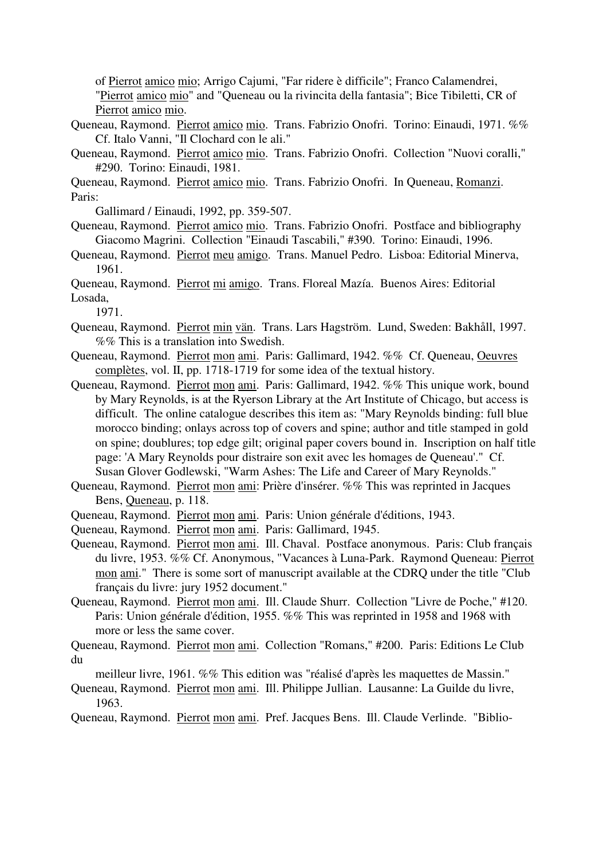of Pierrot amico mio; Arrigo Cajumi, "Far ridere è difficile"; Franco Calamendrei, "Pierrot amico mio" and "Queneau ou la rivincita della fantasia"; Bice Tibiletti, CR of

Pierrot amico mio.

- Queneau, Raymond. Pierrot amico mio. Trans. Fabrizio Onofri. Torino: Einaudi, 1971. %% Cf. Italo Vanni, "Il Clochard con le ali."
- Queneau, Raymond. Pierrot amico mio. Trans. Fabrizio Onofri. Collection "Nuovi coralli," #290. Torino: Einaudi, 1981.

Queneau, Raymond. Pierrot amico mio. Trans. Fabrizio Onofri. In Queneau, Romanzi. Paris:

Gallimard / Einaudi, 1992, pp. 359-507.

- Queneau, Raymond. Pierrot amico mio. Trans. Fabrizio Onofri. Postface and bibliography Giacomo Magrini. Collection "Einaudi Tascabili," #390. Torino: Einaudi, 1996.
- Queneau, Raymond. Pierrot meu amigo. Trans. Manuel Pedro. Lisboa: Editorial Minerva, 1961.

Queneau, Raymond. Pierrot mi amigo. Trans. Floreal Mazía. Buenos Aires: Editorial Losada,

1971.

- Queneau, Raymond. Pierrot min vän. Trans. Lars Hagström. Lund, Sweden: Bakhåll, 1997. %% This is a translation into Swedish.
- Queneau, Raymond. Pierrot mon ami. Paris: Gallimard, 1942. %% Cf. Queneau, Oeuvres complètes, vol. II, pp. 1718-1719 for some idea of the textual history.
- Queneau, Raymond. Pierrot mon ami. Paris: Gallimard, 1942. %% This unique work, bound by Mary Reynolds, is at the Ryerson Library at the Art Institute of Chicago, but access is difficult. The online catalogue describes this item as: "Mary Reynolds binding: full blue morocco binding; onlays across top of covers and spine; author and title stamped in gold on spine; doublures; top edge gilt; original paper covers bound in. Inscription on half title page: 'A Mary Reynolds pour distraire son exit avec les homages de Queneau'." Cf. Susan Glover Godlewski, "Warm Ashes: The Life and Career of Mary Reynolds."
- Queneau, Raymond. Pierrot mon ami: Prière d'insérer. %% This was reprinted in Jacques Bens, Queneau, p. 118.
- Queneau, Raymond. Pierrot mon ami. Paris: Union générale d'éditions, 1943.
- Queneau, Raymond. Pierrot mon ami. Paris: Gallimard, 1945.
- Queneau, Raymond. Pierrot mon ami. Ill. Chaval. Postface anonymous. Paris: Club français du livre, 1953. %% Cf. Anonymous, "Vacances à Luna-Park. Raymond Queneau: Pierrot mon ami." There is some sort of manuscript available at the CDRQ under the title "Club français du livre: jury 1952 document."
- Queneau, Raymond. Pierrot mon ami. Ill. Claude Shurr. Collection "Livre de Poche," #120. Paris: Union générale d'édition, 1955. %% This was reprinted in 1958 and 1968 with more or less the same cover.

Queneau, Raymond. Pierrot mon ami. Collection "Romans," #200. Paris: Editions Le Club du

meilleur livre, 1961. %% This edition was "réalisé d'après les maquettes de Massin."

- Queneau, Raymond. Pierrot mon ami. Ill. Philippe Jullian. Lausanne: La Guilde du livre, 1963.
- Queneau, Raymond. Pierrot mon ami. Pref. Jacques Bens. Ill. Claude Verlinde. "Biblio-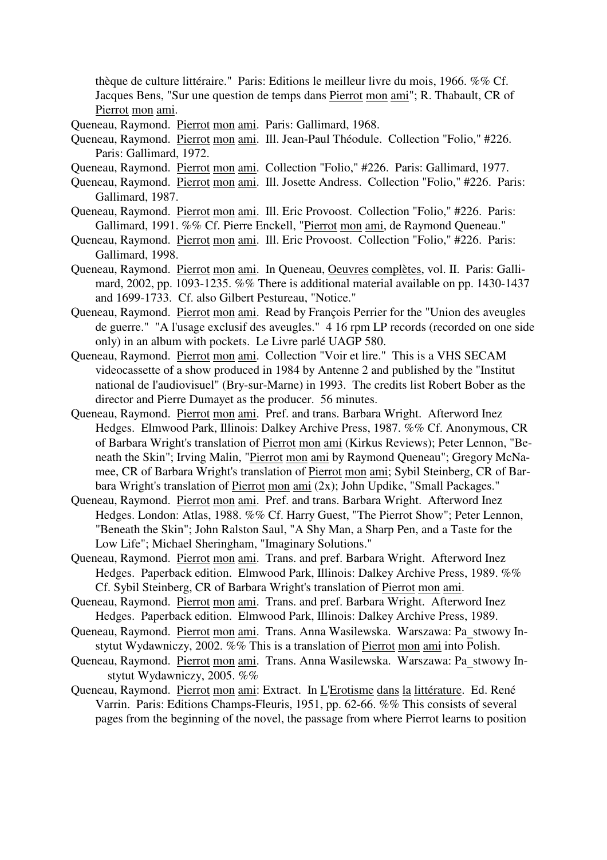thèque de culture littéraire." Paris: Editions le meilleur livre du mois, 1966. %% Cf. Jacques Bens, "Sur une question de temps dans Pierrot mon ami"; R. Thabault, CR of Pierrot mon ami.

- Queneau, Raymond. Pierrot mon ami. Paris: Gallimard, 1968.
- Queneau, Raymond. Pierrot mon ami. Ill. Jean-Paul Théodule. Collection "Folio," #226. Paris: Gallimard, 1972.
- Queneau, Raymond. Pierrot mon ami. Collection "Folio," #226. Paris: Gallimard, 1977.
- Queneau, Raymond. Pierrot mon ami. Ill. Josette Andress. Collection "Folio," #226. Paris: Gallimard, 1987.
- Queneau, Raymond. Pierrot mon ami. Ill. Eric Provoost. Collection "Folio," #226. Paris: Gallimard, 1991. %% Cf. Pierre Enckell, "Pierrot mon ami, de Raymond Queneau."
- Queneau, Raymond. Pierrot mon ami. Ill. Eric Provoost. Collection "Folio," #226. Paris: Gallimard, 1998.
- Queneau, Raymond. Pierrot mon ami. In Queneau, Oeuvres complètes, vol. II. Paris: Gallimard, 2002, pp. 1093-1235. %% There is additional material available on pp. 1430-1437 and 1699-1733. Cf. also Gilbert Pestureau, "Notice."
- Queneau, Raymond. Pierrot mon ami. Read by François Perrier for the "Union des aveugles de guerre." "A l'usage exclusif des aveugles." 4 16 rpm LP records (recorded on one side only) in an album with pockets. Le Livre parlé UAGP 580.
- Queneau, Raymond. Pierrot mon ami. Collection "Voir et lire." This is a VHS SECAM videocassette of a show produced in 1984 by Antenne 2 and published by the "Institut national de l'audiovisuel" (Bry-sur-Marne) in 1993. The credits list Robert Bober as the director and Pierre Dumayet as the producer. 56 minutes.
- Queneau, Raymond. Pierrot mon ami. Pref. and trans. Barbara Wright. Afterword Inez Hedges. Elmwood Park, Illinois: Dalkey Archive Press, 1987. %% Cf. Anonymous, CR of Barbara Wright's translation of Pierrot mon ami (Kirkus Reviews); Peter Lennon, "Beneath the Skin"; Irving Malin, "Pierrot mon ami by Raymond Queneau"; Gregory McNamee, CR of Barbara Wright's translation of Pierrot mon ami; Sybil Steinberg, CR of Barbara Wright's translation of Pierrot mon ami (2x); John Updike, "Small Packages."
- Queneau, Raymond. Pierrot mon ami. Pref. and trans. Barbara Wright. Afterword Inez Hedges. London: Atlas, 1988. %% Cf. Harry Guest, "The Pierrot Show"; Peter Lennon, "Beneath the Skin"; John Ralston Saul, "A Shy Man, a Sharp Pen, and a Taste for the Low Life"; Michael Sheringham, "Imaginary Solutions."
- Queneau, Raymond. Pierrot mon ami. Trans. and pref. Barbara Wright. Afterword Inez Hedges. Paperback edition. Elmwood Park, Illinois: Dalkey Archive Press, 1989. %% Cf. Sybil Steinberg, CR of Barbara Wright's translation of Pierrot mon ami.
- Queneau, Raymond. Pierrot mon ami. Trans. and pref. Barbara Wright. Afterword Inez Hedges. Paperback edition. Elmwood Park, Illinois: Dalkey Archive Press, 1989.
- Queneau, Raymond. Pierrot mon ami. Trans. Anna Wasilewska. Warszawa: Pa\_stwowy Instytut Wydawniczy, 2002. %% This is a translation of Pierrot mon ami into Polish.
- Queneau, Raymond. Pierrot mon ami. Trans. Anna Wasilewska. Warszawa: Pa\_stwowy In stytut Wydawniczy, 2005. %%
- Queneau, Raymond. Pierrot mon ami: Extract. In L'Erotisme dans la littérature. Ed. René Varrin. Paris: Editions Champs-Fleuris, 1951, pp. 62-66. %% This consists of several pages from the beginning of the novel, the passage from where Pierrot learns to position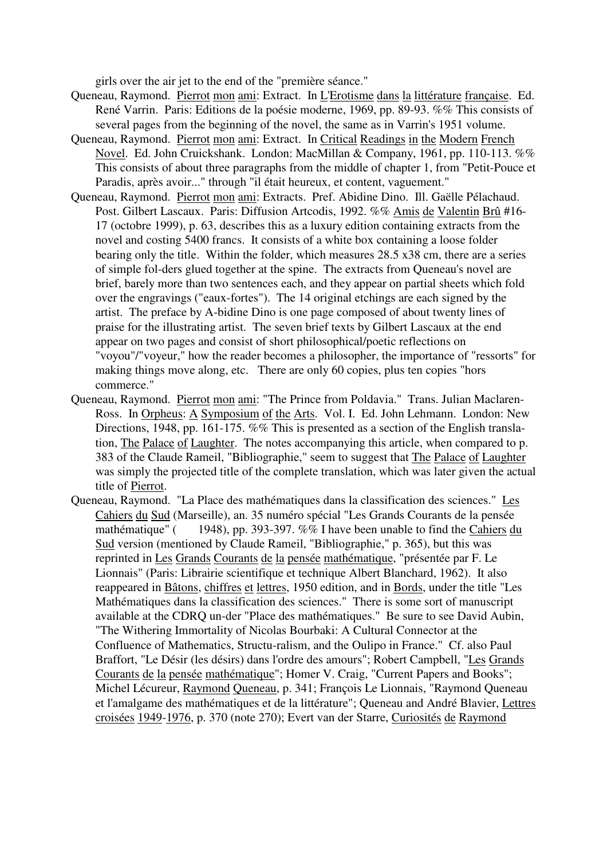girls over the air jet to the end of the "première séance."

- Queneau, Raymond. Pierrot mon ami: Extract. In L'Erotisme dans la littérature française. Ed. René Varrin. Paris: Editions de la poésie moderne, 1969, pp. 89-93. %% This consists of several pages from the beginning of the novel, the same as in Varrin's 1951 volume.
- Queneau, Raymond. Pierrot mon ami: Extract. In Critical Readings in the Modern French Novel. Ed. John Cruickshank. London: MacMillan & Company, 1961, pp. 110-113. %% This consists of about three paragraphs from the middle of chapter 1, from "Petit-Pouce et Paradis, après avoir..." through "il était heureux, et content, vaguement."
- Queneau, Raymond. Pierrot mon ami: Extracts. Pref. Abidine Dino. Ill. Gaëlle Pélachaud. Post. Gilbert Lascaux. Paris: Diffusion Artcodis, 1992. %% Amis de Valentin Brû #16- 17 (octobre 1999), p. 63, describes this as a luxury edition containing extracts from the novel and costing 5400 francs. It consists of a white box containing a loose folder bearing only the title. Within the folder, which measures 28.5 x38 cm, there are a series of simple fol-ders glued together at the spine. The extracts from Queneau's novel are brief, barely more than two sentences each, and they appear on partial sheets which fold over the engravings ("eaux-fortes"). The 14 original etchings are each signed by the artist. The preface by A-bidine Dino is one page composed of about twenty lines of praise for the illustrating artist. The seven brief texts by Gilbert Lascaux at the end appear on two pages and consist of short philosophical/poetic reflections on "voyou"/"voyeur," how the reader becomes a philosopher, the importance of "ressorts" for making things move along, etc. There are only 60 copies, plus ten copies "hors commerce."
- Queneau, Raymond. Pierrot mon ami: "The Prince from Poldavia." Trans. Julian Maclaren-Ross. In Orpheus: A Symposium of the Arts. Vol. I. Ed. John Lehmann. London: New Directions, 1948, pp. 161-175. %% This is presented as a section of the English translation, The Palace of Laughter. The notes accompanying this article, when compared to p. 383 of the Claude Rameil, "Bibliographie," seem to suggest that The Palace of Laughter was simply the projected title of the complete translation, which was later given the actual title of Pierrot.
- Queneau, Raymond. "La Place des mathématiques dans la classification des sciences." Les Cahiers du Sud (Marseille), an. 35 numéro spécial "Les Grands Courants de la pensée mathématique" ( 1948), pp. 393-397. %% I have been unable to find the Cahiers du Sud version (mentioned by Claude Rameil, "Bibliographie," p. 365), but this was reprinted in Les Grands Courants de la pensée mathématique, "présentée par F. Le Lionnais" (Paris: Librairie scientifique et technique Albert Blanchard, 1962). It also reappeared in Bâtons, chiffres et lettres, 1950 edition, and in Bords, under the title "Les Mathématiques dans la classification des sciences." There is some sort of manuscript available at the CDRQ un-der "Place des mathématiques." Be sure to see David Aubin, "The Withering Immortality of Nicolas Bourbaki: A Cultural Connector at the Confluence of Mathematics, Structu-ralism, and the Oulipo in France." Cf. also Paul Braffort, "Le Désir (les désirs) dans l'ordre des amours"; Robert Campbell, "Les Grands Courants de la pensée mathématique"; Homer V. Craig, "Current Papers and Books"; Michel Lécureur, Raymond Queneau, p. 341; François Le Lionnais, "Raymond Queneau et l'amalgame des mathématiques et de la littérature"; Queneau and André Blavier, Lettres croisées 1949-1976, p. 370 (note 270); Evert van der Starre, Curiosités de Raymond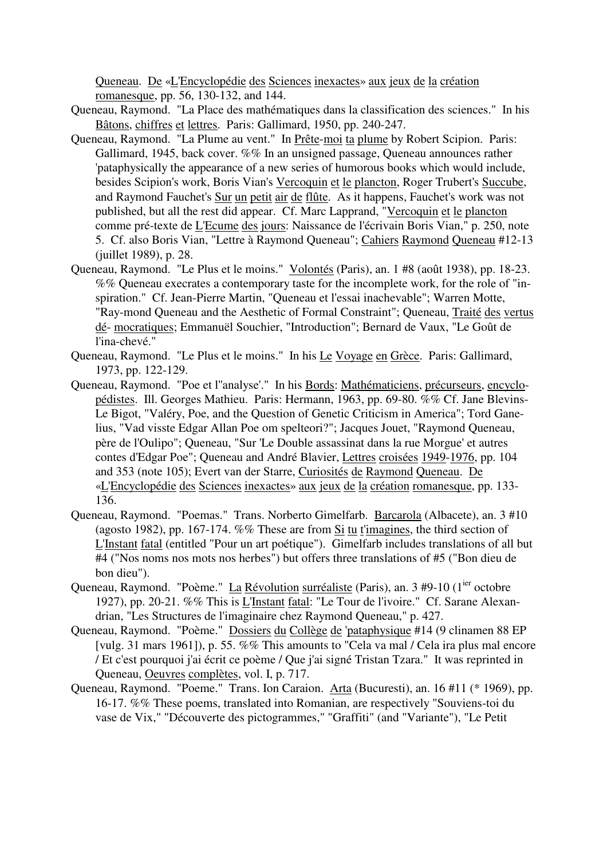Queneau. De «L'Encyclopédie des Sciences inexactes» aux jeux de la création romanesque, pp. 56, 130-132, and 144.

- Queneau, Raymond. "La Place des mathématiques dans la classification des sciences." In his Bâtons, chiffres et lettres. Paris: Gallimard, 1950, pp. 240-247.
- Queneau, Raymond. "La Plume au vent." In Prête-moi ta plume by Robert Scipion. Paris: Gallimard, 1945, back cover. %% In an unsigned passage, Queneau announces rather 'pataphysically the appearance of a new series of humorous books which would include, besides Scipion's work, Boris Vian's Vercoquin et le plancton, Roger Trubert's Succube, and Raymond Fauchet's Sur un petit air de flûte. As it happens, Fauchet's work was not published, but all the rest did appear. Cf. Marc Lapprand, "Vercoquin et le plancton comme pré-texte de L'Ecume des jours: Naissance de l'écrivain Boris Vian," p. 250, note 5. Cf. also Boris Vian, "Lettre à Raymond Queneau"; Cahiers Raymond Queneau #12-13 (juillet 1989), p. 28.
- Queneau, Raymond. "Le Plus et le moins." Volontés (Paris), an. 1 #8 (août 1938), pp. 18-23. %% Queneau execrates a contemporary taste for the incomplete work, for the role of "inspiration." Cf. Jean-Pierre Martin, "Queneau et l'essai inachevable"; Warren Motte, "Ray-mond Queneau and the Aesthetic of Formal Constraint"; Queneau, Traité des vertus dé- mocratiques; Emmanuël Souchier, "Introduction"; Bernard de Vaux, "Le Goût de l'ina-chevé."
- Queneau, Raymond. "Le Plus et le moins." In his Le Voyage en Grèce. Paris: Gallimard, 1973, pp. 122-129.
- Queneau, Raymond. "Poe et l''analyse'." In his Bords: Mathématiciens, précurseurs, encyclopédistes. Ill. Georges Mathieu. Paris: Hermann, 1963, pp. 69-80. %% Cf. Jane Blevins-Le Bigot, "Valéry, Poe, and the Question of Genetic Criticism in America"; Tord Ganelius, "Vad visste Edgar Allan Poe om spelteori?"; Jacques Jouet, "Raymond Queneau, père de l'Oulipo"; Queneau, "Sur 'Le Double assassinat dans la rue Morgue' et autres contes d'Edgar Poe"; Queneau and André Blavier, Lettres croisées 1949-1976, pp. 104 and 353 (note 105); Evert van der Starre, Curiosités de Raymond Queneau. De «L'Encyclopédie des Sciences inexactes» aux jeux de la création romanesque, pp. 133- 136.
- Queneau, Raymond. "Poemas." Trans. Norberto Gimelfarb. Barcarola (Albacete), an. 3 #10 (agosto 1982), pp. 167-174. %% These are from Si tu t'imagines, the third section of L'Instant fatal (entitled "Pour un art poétique"). Gimelfarb includes translations of all but #4 ("Nos noms nos mots nos herbes") but offers three translations of #5 ("Bon dieu de bon dieu").
- Queneau, Raymond. "Poème." La Révolution surréaliste (Paris), an. 3 #9-10 (1<sup>ier</sup> octobre 1927), pp. 20-21. %% This is L'Instant fatal: "Le Tour de l'ivoire." Cf. Sarane Alexandrian, "Les Structures de l'imaginaire chez Raymond Queneau," p. 427.
- Queneau, Raymond. "Poème." Dossiers du Collège de 'pataphysique #14 (9 clinamen 88 EP [vulg. 31 mars 1961]), p. 55. %% This amounts to "Cela va mal / Cela ira plus mal encore / Et c'est pourquoi j'ai écrit ce poème / Que j'ai signé Tristan Tzara." It was reprinted in Queneau, Oeuvres complètes, vol. I, p. 717.
- Queneau, Raymond. "Poeme." Trans. Ion Caraion. Arta (Bucuresti), an. 16 #11 (\* 1969), pp. 16-17. %% These poems, translated into Romanian, are respectively "Souviens-toi du vase de Vix," "Découverte des pictogrammes," "Graffiti" (and "Variante"), "Le Petit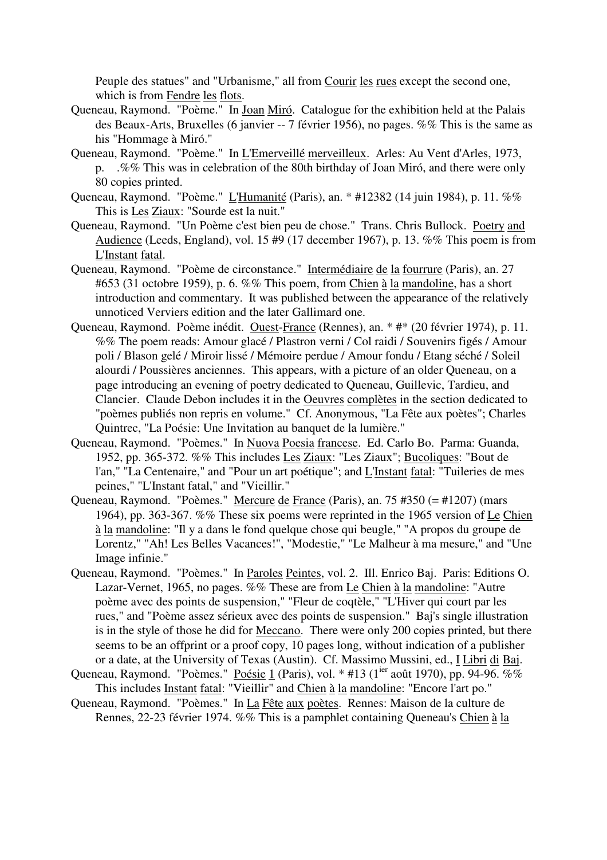Peuple des statues" and "Urbanisme," all from Courir les rues except the second one, which is from Fendre les flots.

- Queneau, Raymond. "Poème." In Joan Miró. Catalogue for the exhibition held at the Palais des Beaux-Arts, Bruxelles (6 janvier -- 7 février 1956), no pages. %% This is the same as his "Hommage à Miró."
- Queneau, Raymond. "Poème." In L'Emerveillé merveilleux. Arles: Au Vent d'Arles, 1973, p. .%% This was in celebration of the 80th birthday of Joan Miró, and there were only 80 copies printed.
- Queneau, Raymond. "Poème." L'Humanité (Paris), an. \* #12382 (14 juin 1984), p. 11. %% This is Les Ziaux: "Sourde est la nuit."
- Queneau, Raymond. "Un Poème c'est bien peu de chose." Trans. Chris Bullock. Poetry and Audience (Leeds, England), vol. 15 #9 (17 december 1967), p. 13. %% This poem is from L'Instant fatal.
- Queneau, Raymond. "Poème de circonstance." Intermédiaire de la fourrure (Paris), an. 27 #653 (31 octobre 1959), p. 6. %% This poem, from Chien à la mandoline, has a short introduction and commentary. It was published between the appearance of the relatively unnoticed Verviers edition and the later Gallimard one.
- Queneau, Raymond. Poème inédit. Ouest-France (Rennes), an. \* #\* (20 février 1974), p. 11. %% The poem reads: Amour glacé / Plastron verni / Col raidi / Souvenirs figés / Amour poli / Blason gelé / Miroir lissé / Mémoire perdue / Amour fondu / Etang séché / Soleil alourdi / Poussières anciennes. This appears, with a picture of an older Queneau, on a page introducing an evening of poetry dedicated to Queneau, Guillevic, Tardieu, and Clancier. Claude Debon includes it in the Oeuvres complètes in the section dedicated to "poèmes publiés non repris en volume." Cf. Anonymous, "La Fête aux poètes"; Charles Quintrec, "La Poésie: Une Invitation au banquet de la lumière."
- Queneau, Raymond. "Poèmes." In Nuova Poesia francese. Ed. Carlo Bo. Parma: Guanda, 1952, pp. 365-372. %% This includes Les Ziaux: "Les Ziaux"; Bucoliques: "Bout de l'an," "La Centenaire," and "Pour un art poétique"; and L'Instant fatal: "Tuileries de mes peines," "L'Instant fatal," and "Vieillir."
- Queneau, Raymond. "Poèmes." Mercure de France (Paris), an. 75 #350 (= #1207) (mars 1964), pp. 363-367. %% These six poems were reprinted in the 1965 version of Le Chien à la mandoline: "Il y a dans le fond quelque chose qui beugle," "A propos du groupe de Lorentz," "Ah! Les Belles Vacances!", "Modestie," "Le Malheur à ma mesure," and "Une Image infinie."
- Queneau, Raymond. "Poèmes." In Paroles Peintes, vol. 2. Ill. Enrico Baj. Paris: Editions O. Lazar-Vernet, 1965, no pages. %% These are from Le Chien à la mandoline: "Autre poème avec des points de suspension," "Fleur de coqtèle," "L'Hiver qui court par les rues," and "Poème assez sérieux avec des points de suspension." Baj's single illustration is in the style of those he did for Meccano. There were only 200 copies printed, but there seems to be an offprint or a proof copy, 10 pages long, without indication of a publisher or a date, at the University of Texas (Austin). Cf. Massimo Mussini, ed., I Libri di Baj.
- Queneau, Raymond. "Poèmes." Poésie 1 (Paris), vol. \* #13 (1<sup>ier</sup> août 1970), pp. 94-96. %% This includes Instant fatal: "Vieillir" and Chien à la mandoline: "Encore l'art po."
- Queneau, Raymond. "Poèmes." In La Fête aux poètes. Rennes: Maison de la culture de Rennes, 22-23 février 1974. %% This is a pamphlet containing Queneau's Chien à la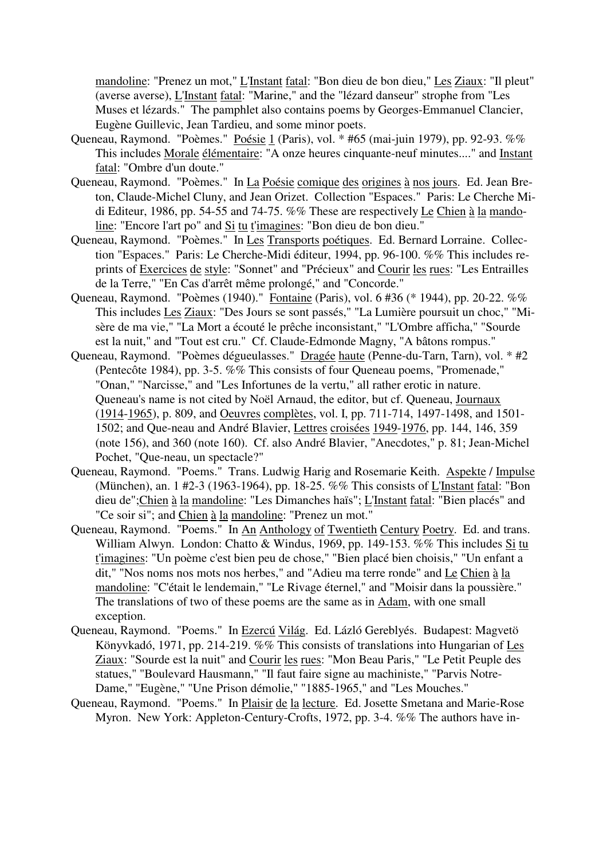mandoline: "Prenez un mot," L'Instant fatal: "Bon dieu de bon dieu," Les Ziaux: "Il pleut" (averse averse), L'Instant fatal: "Marine," and the "lézard danseur" strophe from "Les Muses et lézards." The pamphlet also contains poems by Georges-Emmanuel Clancier, Eugène Guillevic, Jean Tardieu, and some minor poets.

- Queneau, Raymond. "Poèmes." Poésie 1 (Paris), vol. \* #65 (mai-juin 1979), pp. 92-93. %% This includes Morale élémentaire: "A onze heures cinquante-neuf minutes...." and Instant fatal: "Ombre d'un doute."
- Queneau, Raymond. "Poèmes." In La Poésie comique des origines à nos jours. Ed. Jean Breton, Claude-Michel Cluny, and Jean Orizet. Collection "Espaces." Paris: Le Cherche Midi Editeur, 1986, pp. 54-55 and 74-75. %% These are respectively Le Chien à la mandoline: "Encore l'art po" and Si tu t'imagines: "Bon dieu de bon dieu."
- Queneau, Raymond. "Poèmes." In Les Transports poétiques. Ed. Bernard Lorraine. Collection "Espaces." Paris: Le Cherche-Midi éditeur, 1994, pp. 96-100. %% This includes reprints of Exercices de style: "Sonnet" and "Précieux" and Courir les rues: "Les Entrailles de la Terre," "En Cas d'arrêt même prolongé," and "Concorde."
- Queneau, Raymond. "Poèmes (1940)." Fontaine (Paris), vol. 6 #36 (\* 1944), pp. 20-22. %% This includes Les Ziaux: "Des Jours se sont passés," "La Lumière poursuit un choc," "Misère de ma vie," "La Mort a écouté le prêche inconsistant," "L'Ombre afficha," "Sourde est la nuit," and "Tout est cru." Cf. Claude-Edmonde Magny, "A bâtons rompus."
- Queneau, Raymond. "Poèmes dégueulasses." Dragée haute (Penne-du-Tarn, Tarn), vol. \* #2 (Pentecôte 1984), pp. 3-5. %% This consists of four Queneau poems, "Promenade," "Onan," "Narcisse," and "Les Infortunes de la vertu," all rather erotic in nature. Queneau's name is not cited by Noël Arnaud, the editor, but cf. Queneau, Journaux (1914-1965), p. 809, and Oeuvres complètes, vol. I, pp. 711-714, 1497-1498, and 1501- 1502; and Que-neau and André Blavier, Lettres croisées 1949-1976, pp. 144, 146, 359 (note 156), and 360 (note 160). Cf. also André Blavier, "Anecdotes," p. 81; Jean-Michel Pochet, "Que-neau, un spectacle?"
- Queneau, Raymond. "Poems." Trans. Ludwig Harig and Rosemarie Keith. Aspekte / Impulse (München), an. 1 #2-3 (1963-1964), pp. 18-25. %% This consists of L'Instant fatal: "Bon dieu de";Chien à la mandoline: "Les Dimanches haïs"; L'Instant fatal: "Bien placés" and "Ce soir si"; and Chien à la mandoline: "Prenez un mot."
- Queneau, Raymond. "Poems." In An Anthology of Twentieth Century Poetry. Ed. and trans. William Alwyn. London: Chatto & Windus, 1969, pp. 149-153. %% This includes Si tu t'imagines: "Un poème c'est bien peu de chose," "Bien placé bien choisis," "Un enfant a dit," "Nos noms nos mots nos herbes," and "Adieu ma terre ronde" and Le Chien à la mandoline: "C'était le lendemain," "Le Rivage éternel," and "Moisir dans la poussière." The translations of two of these poems are the same as in Adam, with one small exception.
- Queneau, Raymond. "Poems." In Ezercú Világ. Ed. Lázló Gereblyés. Budapest: Magvetö Könyvkadó, 1971, pp. 214-219. %% This consists of translations into Hungarian of Les Ziaux: "Sourde est la nuit" and Courir les rues: "Mon Beau Paris," "Le Petit Peuple des statues," "Boulevard Hausmann," "Il faut faire signe au machiniste," "Parvis Notre-Dame," "Eugène," "Une Prison démolie," "1885-1965," and "Les Mouches."
- Queneau, Raymond. "Poems." In Plaisir de la lecture. Ed. Josette Smetana and Marie-Rose Myron. New York: Appleton-Century-Crofts, 1972, pp. 3-4. %% The authors have in-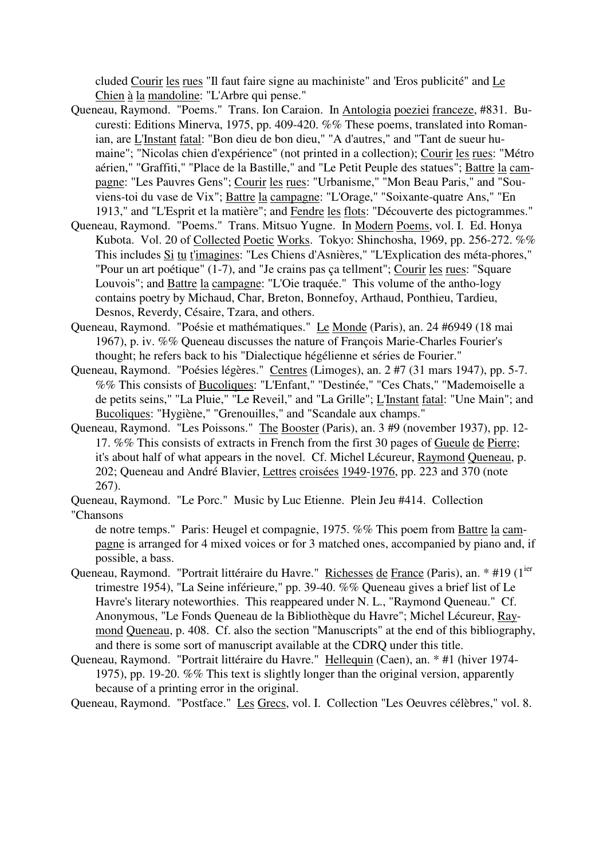cluded Courir les rues "Il faut faire signe au machiniste" and 'Eros publicité" and Le Chien à la mandoline: "L'Arbre qui pense."

- Queneau, Raymond. "Poems." Trans. Ion Caraion. In Antologia poeziei franceze, #831. Bucuresti: Editions Minerva, 1975, pp. 409-420. %% These poems, translated into Romanian, are L'Instant fatal: "Bon dieu de bon dieu," "A d'autres," and "Tant de sueur humaine"; "Nicolas chien d'expérience" (not printed in a collection); Courir les rues: "Métro aérien," "Graffiti," "Place de la Bastille," and "Le Petit Peuple des statues"; Battre la campagne: "Les Pauvres Gens"; Courir les rues: "Urbanisme," "Mon Beau Paris," and "Souviens-toi du vase de Vix"; Battre la campagne: "L'Orage," "Soixante-quatre Ans," "En 1913," and "L'Esprit et la matière"; and Fendre les flots: "Découverte des pictogrammes."
- Queneau, Raymond. "Poems." Trans. Mitsuo Yugne. In Modern Poems, vol. I. Ed. Honya Kubota. Vol. 20 of Collected Poetic Works. Tokyo: Shinchosha, 1969, pp. 256-272. %% This includes Si tu t'imagines: "Les Chiens d'Asnières," "L'Explication des méta-phores," "Pour un art poétique" (1-7), and "Je crains pas ça tellment"; Courir les rues: "Square Louvois"; and Battre la campagne: "L'Oie traquée." This volume of the antho-logy contains poetry by Michaud, Char, Breton, Bonnefoy, Arthaud, Ponthieu, Tardieu, Desnos, Reverdy, Césaire, Tzara, and others.
- Queneau, Raymond. "Poésie et mathématiques." Le Monde (Paris), an. 24 #6949 (18 mai 1967), p. iv. %% Queneau discusses the nature of François Marie-Charles Fourier's thought; he refers back to his "Dialectique hégélienne et séries de Fourier."
- Queneau, Raymond. "Poésies légères." Centres (Limoges), an. 2 #7 (31 mars 1947), pp. 5-7. %% This consists of Bucoliques: "L'Enfant," "Destinée," "Ces Chats," "Mademoiselle a de petits seins," "La Pluie," "Le Reveil," and "La Grille"; L'Instant fatal: "Une Main"; and Bucoliques: "Hygiène," "Grenouilles," and "Scandale aux champs."
- Queneau, Raymond. "Les Poissons." The Booster (Paris), an. 3 #9 (november 1937), pp. 12- 17. %% This consists of extracts in French from the first 30 pages of Gueule de Pierre; it's about half of what appears in the novel. Cf. Michel Lécureur, Raymond Queneau, p. 202; Queneau and André Blavier, Lettres croisées 1949-1976, pp. 223 and 370 (note 267).

Queneau, Raymond. "Le Porc." Music by Luc Etienne. Plein Jeu #414. Collection "Chansons

de notre temps." Paris: Heugel et compagnie, 1975. %% This poem from Battre la campagne is arranged for 4 mixed voices or for 3 matched ones, accompanied by piano and, if possible, a bass.

- Queneau, Raymond. "Portrait littéraire du Havre." Richesses de France (Paris), an. \* #19 (1<sup>ier</sup> trimestre 1954), "La Seine inférieure," pp. 39-40. %% Queneau gives a brief list of Le Havre's literary noteworthies. This reappeared under N. L., "Raymond Queneau." Cf. Anonymous, "Le Fonds Queneau de la Bibliothèque du Havre"; Michel Lécureur, Raymond Queneau, p. 408. Cf. also the section "Manuscripts" at the end of this bibliography, and there is some sort of manuscript available at the CDRQ under this title.
- Queneau, Raymond. "Portrait littéraire du Havre." Hellequin (Caen), an. \* #1 (hiver 1974- 1975), pp. 19-20. %% This text is slightly longer than the original version, apparently because of a printing error in the original.

Queneau, Raymond. "Postface." Les Grecs, vol. I. Collection "Les Oeuvres célèbres," vol. 8.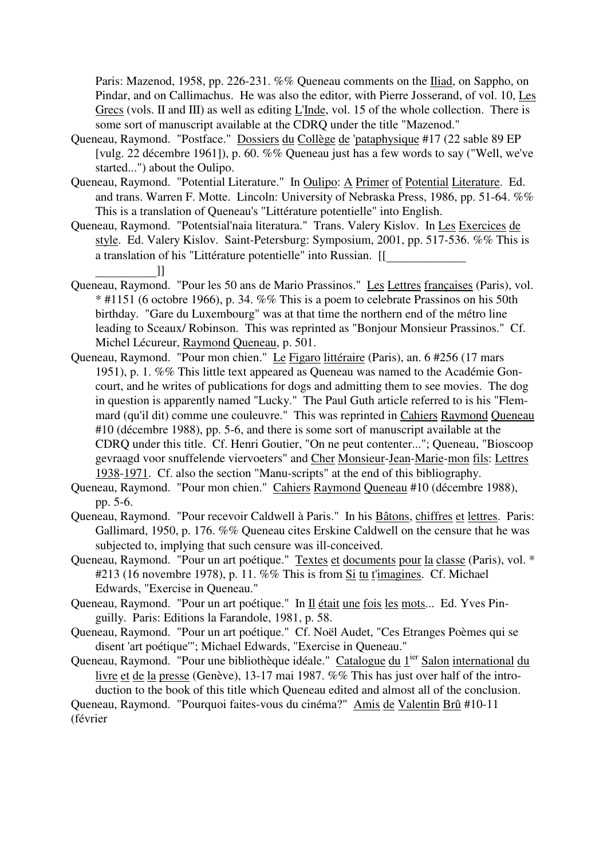Paris: Mazenod, 1958, pp. 226-231. %% Queneau comments on the Iliad, on Sappho, on Pindar, and on Callimachus. He was also the editor, with Pierre Josserand, of vol. 10, Les Grecs (vols. II and III) as well as editing L'Inde, vol. 15 of the whole collection. There is some sort of manuscript available at the CDRQ under the title "Mazenod."

- Queneau, Raymond. "Postface." Dossiers du Collège de 'pataphysique #17 (22 sable 89 EP [vulg. 22 décembre 1961]), p. 60. %% Queneau just has a few words to say ("Well, we've started...") about the Oulipo.
- Queneau, Raymond. "Potential Literature." In Oulipo: A Primer of Potential Literature. Ed. and trans. Warren F. Motte. Lincoln: University of Nebraska Press, 1986, pp. 51-64. %% This is a translation of Queneau's "Littérature potentielle" into English.
- Queneau, Raymond. "Potentsial'naia literatura." Trans. Valery Kislov. In Les Exercices de style. Ed. Valery Kislov. Saint-Petersburg: Symposium, 2001, pp. 517-536. %% This is a translation of his "Littérature potentielle" into Russian. [[
- [13]<br>Queneau, Raymond. "Pour les 50 ans de Mario Prassinos." Les Lettres françaises (Paris), vol. \* #1151 (6 octobre 1966), p. 34. %% This is a poem to celebrate Prassinos on his 50th birthday. "Gare du Luxembourg" was at that time the northern end of the métro line leading to Sceaux/ Robinson. This was reprinted as "Bonjour Monsieur Prassinos." Cf. Michel Lécureur, Raymond Queneau, p. 501.
- Queneau, Raymond. "Pour mon chien." Le Figaro littéraire (Paris), an. 6 #256 (17 mars 1951), p. 1. %% This little text appeared as Queneau was named to the Académie Goncourt, and he writes of publications for dogs and admitting them to see movies. The dog in question is apparently named "Lucky." The Paul Guth article referred to is his "Flemmard (qu'il dit) comme une couleuvre." This was reprinted in Cahiers Raymond Queneau #10 (décembre 1988), pp. 5-6, and there is some sort of manuscript available at the CDRQ under this title. Cf. Henri Goutier, "On ne peut contenter..."; Queneau, "Bioscoop gevraagd voor snuffelende viervoeters" and Cher Monsieur-Jean-Marie-mon fils: Lettres 1938-1971. Cf. also the section "Manu-scripts" at the end of this bibliography.
- Queneau, Raymond. "Pour mon chien." Cahiers Raymond Queneau #10 (décembre 1988), pp. 5-6.
- Queneau, Raymond. "Pour recevoir Caldwell à Paris." In his Bâtons, chiffres et lettres. Paris: Gallimard, 1950, p. 176. %% Queneau cites Erskine Caldwell on the censure that he was subjected to, implying that such censure was ill-conceived.
- Queneau, Raymond. "Pour un art poétique." Textes et documents pour la classe (Paris), vol. \* #213 (16 novembre 1978), p. 11. %% This is from Si tu t'imagines. Cf. Michael Edwards, "Exercise in Queneau."
- Queneau, Raymond. "Pour un art poétique." In Il était une fois les mots... Ed. Yves Pinguilly. Paris: Editions la Farandole, 1981, p. 58.
- Queneau, Raymond. "Pour un art poétique." Cf. Noël Audet, "Ces Etranges Poèmes qui se disent 'art poétique'"; Michael Edwards, "Exercise in Queneau."
- Queneau, Raymond. "Pour une bibliothèque idéale." Catalogue du 1<sup>ier</sup> Salon international du livre et de la presse (Genève), 13-17 mai 1987. %% This has just over half of the introduction to the book of this title which Queneau edited and almost all of the conclusion. Queneau, Raymond. "Pourquoi faites-vous du cinéma?" Amis de Valentin Brû #10-11

(février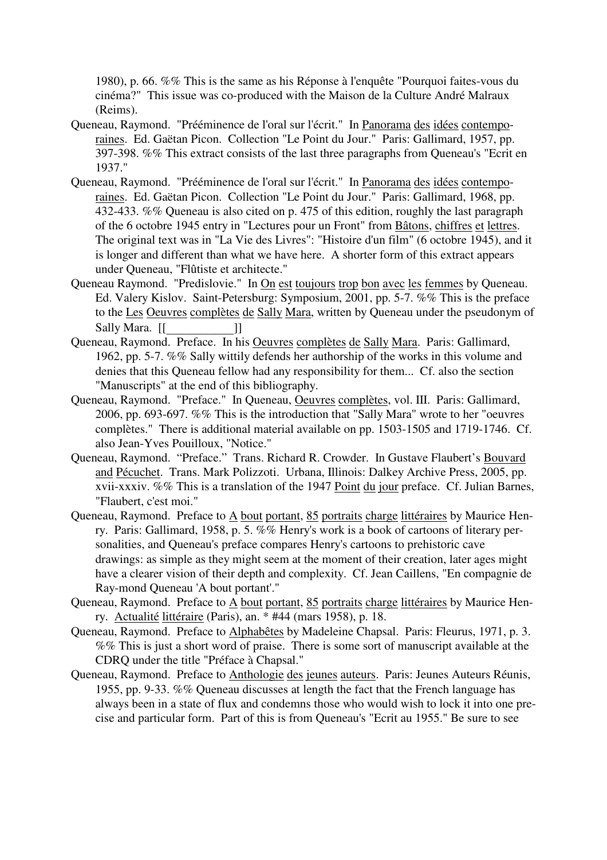1980), p. 66. %% This is the same as his Réponse à l'enquête "Pourquoi faites-vous du cinéma?" This issue was co-produced with the Maison de la Culture André Malraux (Reims).

- Queneau, Raymond. "Prééminence de l'oral sur l'écrit." In Panorama des idées contemporaines. Ed. Gaëtan Picon. Collection "Le Point du Jour." Paris: Gallimard, 1957, pp. 397-398. %% This extract consists of the last three paragraphs from Queneau's "Ecrit en 1937."
- Queneau, Raymond. "Prééminence de l'oral sur l'écrit." In Panorama des idées contemporaines. Ed. Gaëtan Picon. Collection "Le Point du Jour." Paris: Gallimard, 1968, pp. 432-433. %% Queneau is also cited on p. 475 of this edition, roughly the last paragraph of the 6 octobre 1945 entry in "Lectures pour un Front" from Bâtons, chiffres et lettres. The original text was in "La Vie des Livres": "Histoire d'un film" (6 octobre 1945), and it is longer and different than what we have here. A shorter form of this extract appears under Queneau, "Flûtiste et architecte."
- Queneau Raymond. "Predislovie." In On est toujours trop bon avec les femmes by Queneau. Ed. Valery Kislov. Saint-Petersburg: Symposium, 2001, pp. 5-7. %% This is the preface to the Les Oeuvres complètes de Sally Mara, written by Queneau under the pseudonym of
- Sally Mara. [[\_\_\_\_\_\_\_\_\_\_\_\_]]<br>Queneau, Raymond. Preface. In his <u>Oeuvres complètes de Sally Mara</u>. Paris: Gallimard, 1962, pp. 5-7. %% Sally wittily defends her authorship of the works in this volume and denies that this Queneau fellow had any responsibility for them... Cf. also the section "Manuscripts" at the end of this bibliography.
- Queneau, Raymond. "Preface." In Queneau, Oeuvres complètes, vol. III. Paris: Gallimard, 2006, pp. 693-697. %% This is the introduction that "Sally Mara" wrote to her "oeuvres complètes." There is additional material available on pp. 1503-1505 and 1719-1746. Cf. also Jean-Yves Pouilloux, "Notice."
- Queneau, Raymond. "Preface." Trans. Richard R. Crowder. In Gustave Flaubert's Bouvard and Pécuchet. Trans. Mark Polizzoti. Urbana, Illinois: Dalkey Archive Press, 2005, pp. xvii-xxxiv. %% This is a translation of the 1947 Point du jour preface. Cf. Julian Barnes, "Flaubert, c'est moi."
- Queneau, Raymond. Preface to A bout portant, 85 portraits charge littéraires by Maurice Henry. Paris: Gallimard, 1958, p. 5. %% Henry's work is a book of cartoons of literary personalities, and Queneau's preface compares Henry's cartoons to prehistoric cave drawings: as simple as they might seem at the moment of their creation, later ages might have a clearer vision of their depth and complexity. Cf. Jean Caillens, "En compagnie de Ray-mond Queneau 'A bout portant'."
- Queneau, Raymond. Preface to A bout portant, 85 portraits charge littéraires by Maurice Henry. Actualité littéraire (Paris), an. \* #44 (mars 1958), p. 18.
- Queneau, Raymond. Preface to Alphabêtes by Madeleine Chapsal. Paris: Fleurus, 1971, p. 3. %% This is just a short word of praise. There is some sort of manuscript available at the CDRQ under the title "Préface à Chapsal."
- Queneau, Raymond. Preface to Anthologie des jeunes auteurs. Paris: Jeunes Auteurs Réunis, 1955, pp. 9-33. %% Queneau discusses at length the fact that the French language has always been in a state of flux and condemns those who would wish to lock it into one precise and particular form. Part of this is from Queneau's "Ecrit au 1955." Be sure to see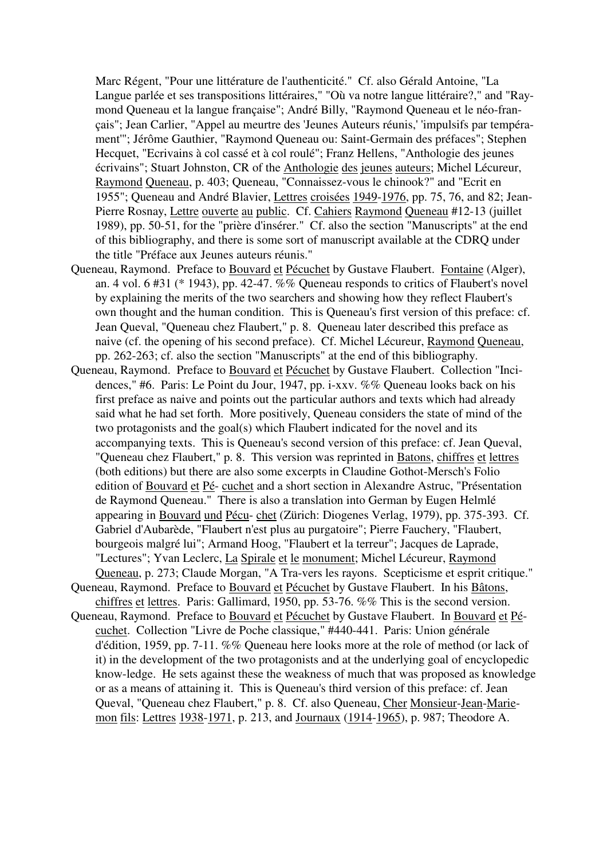Marc Régent, "Pour une littérature de l'authenticité." Cf. also Gérald Antoine, "La Langue parlée et ses transpositions littéraires," "Où va notre langue littéraire?," and "Raymond Queneau et la langue française"; André Billy, "Raymond Queneau et le néo-français"; Jean Carlier, "Appel au meurtre des 'Jeunes Auteurs réunis,' 'impulsifs par tempérament'"; Jérôme Gauthier, "Raymond Queneau ou: Saint-Germain des préfaces"; Stephen Hecquet, "Ecrivains à col cassé et à col roulé"; Franz Hellens, "Anthologie des jeunes écrivains"; Stuart Johnston, CR of the Anthologie des jeunes auteurs; Michel Lécureur, Raymond Queneau, p. 403; Queneau, "Connaissez-vous le chinook?" and "Ecrit en 1955"; Queneau and André Blavier, Lettres croisées 1949-1976, pp. 75, 76, and 82; Jean-Pierre Rosnay, Lettre ouverte au public. Cf. Cahiers Raymond Queneau #12-13 (juillet 1989), pp. 50-51, for the "prière d'insérer." Cf. also the section "Manuscripts" at the end of this bibliography, and there is some sort of manuscript available at the CDRQ under the title "Préface aux Jeunes auteurs réunis."

- Queneau, Raymond. Preface to Bouvard et Pécuchet by Gustave Flaubert. Fontaine (Alger), an. 4 vol. 6 #31 (\* 1943), pp. 42-47. %% Queneau responds to critics of Flaubert's novel by explaining the merits of the two searchers and showing how they reflect Flaubert's own thought and the human condition. This is Queneau's first version of this preface: cf. Jean Queval, "Queneau chez Flaubert," p. 8. Queneau later described this preface as naive (cf. the opening of his second preface). Cf. Michel Lécureur, Raymond Queneau, pp. 262-263; cf. also the section "Manuscripts" at the end of this bibliography.
- Queneau, Raymond. Preface to Bouvard et Pécuchet by Gustave Flaubert. Collection "Incidences," #6. Paris: Le Point du Jour, 1947, pp. i-xxv. %% Queneau looks back on his first preface as naive and points out the particular authors and texts which had already said what he had set forth. More positively, Queneau considers the state of mind of the two protagonists and the goal(s) which Flaubert indicated for the novel and its accompanying texts. This is Queneau's second version of this preface: cf. Jean Queval, "Queneau chez Flaubert," p. 8. This version was reprinted in Batons, chiffres et lettres (both editions) but there are also some excerpts in Claudine Gothot-Mersch's Folio edition of Bouvard et Pé- cuchet and a short section in Alexandre Astruc, "Présentation de Raymond Queneau." There is also a translation into German by Eugen Helmlé appearing in Bouvard und Pécu- chet (Zürich: Diogenes Verlag, 1979), pp. 375-393. Cf. Gabriel d'Aubarède, "Flaubert n'est plus au purgatoire"; Pierre Fauchery, "Flaubert, bourgeois malgré lui"; Armand Hoog, "Flaubert et la terreur"; Jacques de Laprade, "Lectures"; Yvan Leclerc, La Spirale et le monument; Michel Lécureur, Raymond Queneau, p. 273; Claude Morgan, "A Tra-vers les rayons. Scepticisme et esprit critique."
- Queneau, Raymond. Preface to Bouvard et Pécuchet by Gustave Flaubert. In his Bâtons, chiffres et lettres. Paris: Gallimard, 1950, pp. 53-76. %% This is the second version.
- Queneau, Raymond. Preface to Bouvard et Pécuchet by Gustave Flaubert. In Bouvard et Pécuchet. Collection "Livre de Poche classique," #440-441. Paris: Union générale d'édition, 1959, pp. 7-11. %% Queneau here looks more at the role of method (or lack of it) in the development of the two protagonists and at the underlying goal of encyclopedic know-ledge. He sets against these the weakness of much that was proposed as knowledge or as a means of attaining it. This is Queneau's third version of this preface: cf. Jean Queval, "Queneau chez Flaubert," p. 8. Cf. also Queneau, Cher Monsieur-Jean-Mariemon fils: Lettres 1938-1971, p. 213, and Journaux (1914-1965), p. 987; Theodore A.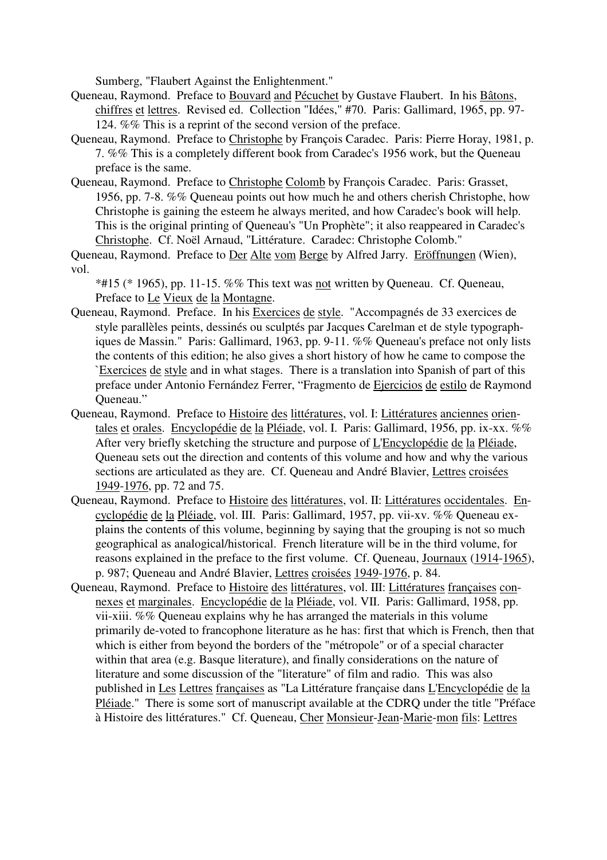Sumberg, "Flaubert Against the Enlightenment."

- Queneau, Raymond. Preface to Bouvard and Pécuchet by Gustave Flaubert. In his Bâtons, chiffres et lettres. Revised ed. Collection "Idées," #70. Paris: Gallimard, 1965, pp. 97- 124. %% This is a reprint of the second version of the preface.
- Queneau, Raymond. Preface to Christophe by François Caradec. Paris: Pierre Horay, 1981, p. 7. %% This is a completely different book from Caradec's 1956 work, but the Queneau preface is the same.
- Queneau, Raymond. Preface to Christophe Colomb by François Caradec. Paris: Grasset, 1956, pp. 7-8. %% Queneau points out how much he and others cherish Christophe, how Christophe is gaining the esteem he always merited, and how Caradec's book will help. This is the original printing of Queneau's "Un Prophète"; it also reappeared in Caradec's Christophe. Cf. Noël Arnaud, "Littérature. Caradec: Christophe Colomb."

Queneau, Raymond. Preface to Der Alte vom Berge by Alfred Jarry. Eröffnungen (Wien), vol.

 $*#15$  (\* 1965), pp. 11-15. %% This text was not written by Queneau. Cf. Queneau, Preface to Le Vieux de la Montagne.

- Queneau, Raymond. Preface. In his Exercices de style. "Accompagnés de 33 exercices de style parallèles peints, dessinés ou sculptés par Jacques Carelman et de style typographiques de Massin." Paris: Gallimard, 1963, pp. 9-11. %% Queneau's preface not only lists the contents of this edition; he also gives a short history of how he came to compose the `Exercices de style and in what stages. There is a translation into Spanish of part of this preface under Antonio Fernández Ferrer, "Fragmento de Ejercicios de estilo de Raymond Queneau."
- Queneau, Raymond. Preface to Histoire des littératures, vol. I: Littératures anciennes orientales et orales. Encyclopédie de la Pléiade, vol. I. Paris: Gallimard, 1956, pp. ix-xx. %% After very briefly sketching the structure and purpose of L'Encyclopédie de la Pléiade, Queneau sets out the direction and contents of this volume and how and why the various sections are articulated as they are. Cf. Queneau and André Blavier, Lettres croisées 1949-1976, pp. 72 and 75.
- Queneau, Raymond. Preface to Histoire des littératures, vol. II: Littératures occidentales. Encyclopédie de la Pléiade, vol. III. Paris: Gallimard, 1957, pp. vii-xv. %% Queneau explains the contents of this volume, beginning by saying that the grouping is not so much geographical as analogical/historical. French literature will be in the third volume, for reasons explained in the preface to the first volume. Cf. Queneau, Journaux (1914-1965), p. 987; Queneau and André Blavier, Lettres croisées 1949-1976, p. 84.
- Queneau, Raymond. Preface to Histoire des littératures, vol. III: Littératures françaises connexes et marginales. Encyclopédie de la Pléiade, vol. VII. Paris: Gallimard, 1958, pp. vii-xiii. %% Queneau explains why he has arranged the materials in this volume primarily de-voted to francophone literature as he has: first that which is French, then that which is either from beyond the borders of the "métropole" or of a special character within that area (e.g. Basque literature), and finally considerations on the nature of literature and some discussion of the "literature" of film and radio. This was also published in Les Lettres françaises as "La Littérature française dans L'Encyclopédie de la Pléiade." There is some sort of manuscript available at the CDRQ under the title "Préface à Histoire des littératures." Cf. Queneau, Cher Monsieur-Jean-Marie-mon fils: Lettres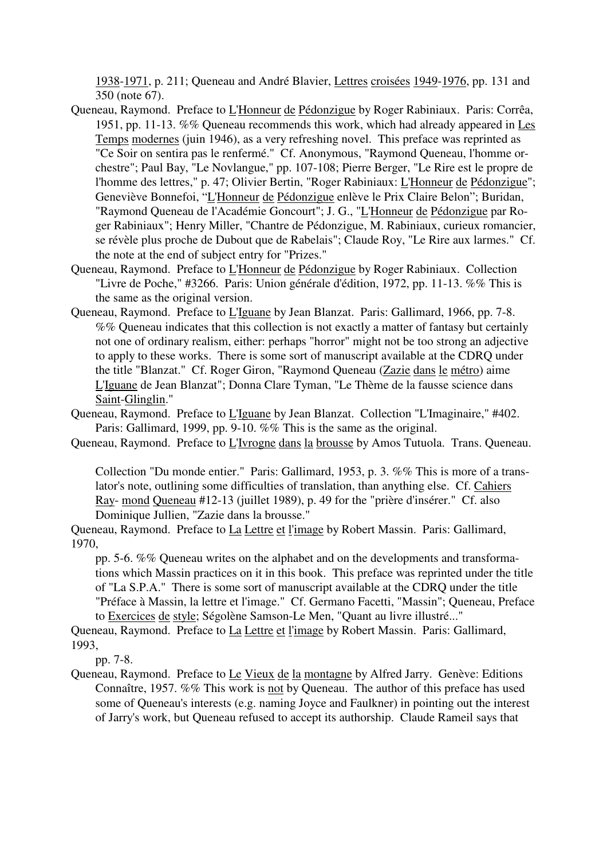1938-1971, p. 211; Queneau and André Blavier, Lettres croisées 1949-1976, pp. 131 and 350 (note 67).

- Queneau, Raymond. Preface to L'Honneur de Pédonzigue by Roger Rabiniaux. Paris: Corrêa, 1951, pp. 11-13. %% Queneau recommends this work, which had already appeared in Les Temps modernes (juin 1946), as a very refreshing novel. This preface was reprinted as "Ce Soir on sentira pas le renfermé." Cf. Anonymous, "Raymond Queneau, l'homme orchestre"; Paul Bay, "Le Novlangue," pp. 107-108; Pierre Berger, "Le Rire est le propre de l'homme des lettres," p. 47; Olivier Bertin, "Roger Rabiniaux: L'Honneur de Pédonzigue"; Geneviève Bonnefoi, "L'Honneur de Pédonzigue enlève le Prix Claire Belon"; Buridan, "Raymond Queneau de l'Académie Goncourt"; J. G., "L'Honneur de Pédonzigue par Roger Rabiniaux"; Henry Miller, "Chantre de Pédonzigue, M. Rabiniaux, curieux romancier, se révèle plus proche de Dubout que de Rabelais"; Claude Roy, "Le Rire aux larmes." Cf. the note at the end of subject entry for "Prizes."
- Queneau, Raymond. Preface to L'Honneur de Pédonzigue by Roger Rabiniaux. Collection "Livre de Poche," #3266. Paris: Union générale d'édition, 1972, pp. 11-13. %% This is the same as the original version.
- Queneau, Raymond. Preface to L'Iguane by Jean Blanzat. Paris: Gallimard, 1966, pp. 7-8. %% Queneau indicates that this collection is not exactly a matter of fantasy but certainly not one of ordinary realism, either: perhaps "horror" might not be too strong an adjective to apply to these works. There is some sort of manuscript available at the CDRQ under the title "Blanzat." Cf. Roger Giron, "Raymond Queneau (Zazie dans le métro) aime L'Iguane de Jean Blanzat"; Donna Clare Tyman, "Le Thème de la fausse science dans Saint-Glinglin."
- Queneau, Raymond. Preface to L'Iguane by Jean Blanzat. Collection "L'Imaginaire," #402. Paris: Gallimard, 1999, pp. 9-10. %% This is the same as the original.

Queneau, Raymond. Preface to L'Ivrogne dans la brousse by Amos Tutuola. Trans. Queneau.

Collection "Du monde entier." Paris: Gallimard, 1953, p. 3. %% This is more of a translator's note, outlining some difficulties of translation, than anything else. Cf. Cahiers Ray- mond Queneau #12-13 (juillet 1989), p. 49 for the "prière d'insérer." Cf. also Dominique Jullien, "Zazie dans la brousse."

Queneau, Raymond. Preface to La Lettre et l'image by Robert Massin. Paris: Gallimard, 1970,

pp. 5-6. %% Queneau writes on the alphabet and on the developments and transformations which Massin practices on it in this book. This preface was reprinted under the title of "La S.P.A." There is some sort of manuscript available at the CDRQ under the title "Préface à Massin, la lettre et l'image." Cf. Germano Facetti, "Massin"; Queneau, Preface to Exercices de style; Ségolène Samson-Le Men, "Quant au livre illustré..."

Queneau, Raymond. Preface to La Lettre et l'image by Robert Massin. Paris: Gallimard, 1993,

pp. 7-8.

Queneau, Raymond. Preface to Le Vieux de la montagne by Alfred Jarry. Genève: Editions Connaître, 1957. %% This work is not by Queneau. The author of this preface has used some of Queneau's interests (e.g. naming Joyce and Faulkner) in pointing out the interest of Jarry's work, but Queneau refused to accept its authorship. Claude Rameil says that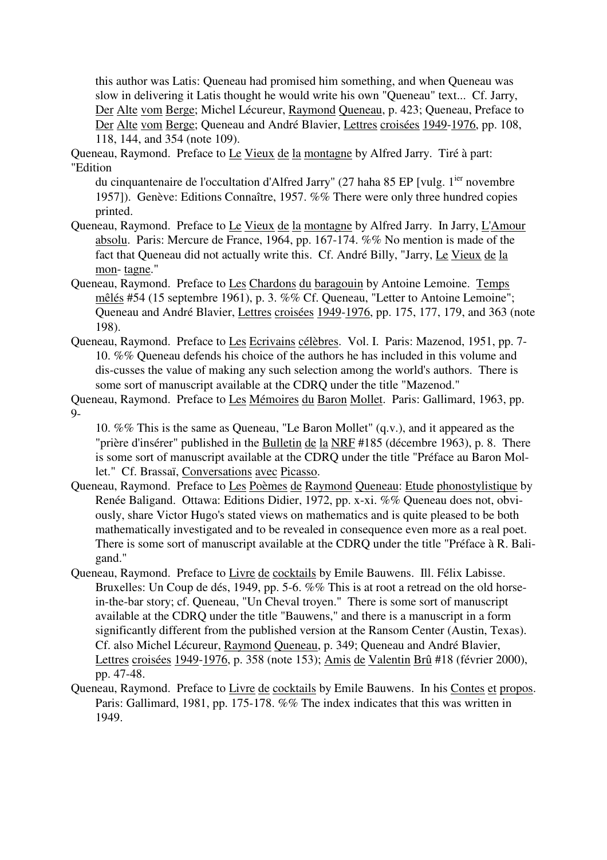this author was Latis: Queneau had promised him something, and when Queneau was slow in delivering it Latis thought he would write his own "Queneau" text... Cf. Jarry, Der Alte vom Berge; Michel Lécureur, Raymond Queneau, p. 423; Queneau, Preface to Der Alte vom Berge; Queneau and André Blavier, Lettres croisées 1949-1976, pp. 108, 118, 144, and 354 (note 109).

Queneau, Raymond. Preface to Le Vieux de la montagne by Alfred Jarry. Tiré à part: "Edition

du cinquantenaire de l'occultation d'Alfred Jarry" (27 haha 85 EP [vulg. 1<sup>ier</sup> novembre 1957]). Genève: Editions Connaître, 1957. %% There were only three hundred copies printed.

- Queneau, Raymond. Preface to Le Vieux de la montagne by Alfred Jarry. In Jarry, L'Amour absolu. Paris: Mercure de France, 1964, pp. 167-174. %% No mention is made of the fact that Queneau did not actually write this. Cf. André Billy, "Jarry, Le Vieux de la mon- tagne."
- Queneau, Raymond. Preface to Les Chardons du baragouin by Antoine Lemoine. Temps mêlés #54 (15 septembre 1961), p. 3. %% Cf. Queneau, "Letter to Antoine Lemoine"; Queneau and André Blavier, Lettres croisées 1949-1976, pp. 175, 177, 179, and 363 (note 198).
- Queneau, Raymond. Preface to Les Ecrivains célèbres. Vol. I. Paris: Mazenod, 1951, pp. 7- 10. %% Queneau defends his choice of the authors he has included in this volume and dis-cusses the value of making any such selection among the world's authors. There is some sort of manuscript available at the CDRQ under the title "Mazenod."
- Queneau, Raymond. Preface to Les Mémoires du Baron Mollet. Paris: Gallimard, 1963, pp.  $Q_{-}$

10. %% This is the same as Queneau, "Le Baron Mollet" (q.v.), and it appeared as the "prière d'insérer" published in the Bulletin de la NRF #185 (décembre 1963), p. 8. There is some sort of manuscript available at the CDRQ under the title "Préface au Baron Mollet." Cf. Brassaï, Conversations avec Picasso.

- Queneau, Raymond. Preface to Les Poèmes de Raymond Queneau: Etude phonostylistique by Renée Baligand. Ottawa: Editions Didier, 1972, pp. x-xi. %% Queneau does not, obviously, share Victor Hugo's stated views on mathematics and is quite pleased to be both mathematically investigated and to be revealed in consequence even more as a real poet. There is some sort of manuscript available at the CDRQ under the title "Préface à R. Baligand."
- Queneau, Raymond. Preface to Livre de cocktails by Emile Bauwens. Ill. Félix Labisse. Bruxelles: Un Coup de dés, 1949, pp. 5-6. %% This is at root a retread on the old horsein-the-bar story; cf. Queneau, "Un Cheval troyen." There is some sort of manuscript available at the CDRQ under the title "Bauwens," and there is a manuscript in a form significantly different from the published version at the Ransom Center (Austin, Texas). Cf. also Michel Lécureur, Raymond Queneau, p. 349; Queneau and André Blavier, Lettres croisées 1949-1976, p. 358 (note 153); Amis de Valentin Brû #18 (février 2000), pp. 47-48.
- Queneau, Raymond. Preface to Livre de cocktails by Emile Bauwens. In his Contes et propos. Paris: Gallimard, 1981, pp. 175-178. %% The index indicates that this was written in 1949.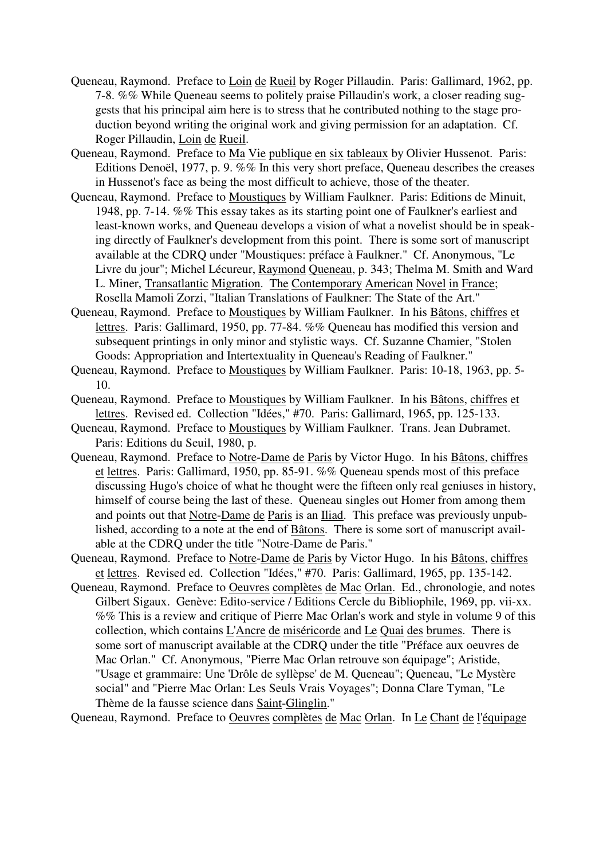- Queneau, Raymond. Preface to Loin de Rueil by Roger Pillaudin. Paris: Gallimard, 1962, pp. 7-8. %% While Queneau seems to politely praise Pillaudin's work, a closer reading suggests that his principal aim here is to stress that he contributed nothing to the stage production beyond writing the original work and giving permission for an adaptation. Cf. Roger Pillaudin, Loin de Rueil.
- Queneau, Raymond. Preface to Ma Vie publique en six tableaux by Olivier Hussenot. Paris: Editions Denoël, 1977, p. 9. %% In this very short preface, Queneau describes the creases in Hussenot's face as being the most difficult to achieve, those of the theater.
- Queneau, Raymond. Preface to Moustiques by William Faulkner. Paris: Editions de Minuit, 1948, pp. 7-14. %% This essay takes as its starting point one of Faulkner's earliest and least-known works, and Queneau develops a vision of what a novelist should be in speaking directly of Faulkner's development from this point. There is some sort of manuscript available at the CDRQ under "Moustiques: préface à Faulkner." Cf. Anonymous, "Le Livre du jour"; Michel Lécureur, Raymond Queneau, p. 343; Thelma M. Smith and Ward L. Miner, Transatlantic Migration. The Contemporary American Novel in France; Rosella Mamoli Zorzi, "Italian Translations of Faulkner: The State of the Art."
- Queneau, Raymond. Preface to Moustiques by William Faulkner. In his Bâtons, chiffres et lettres. Paris: Gallimard, 1950, pp. 77-84. %% Queneau has modified this version and subsequent printings in only minor and stylistic ways. Cf. Suzanne Chamier, "Stolen Goods: Appropriation and Intertextuality in Queneau's Reading of Faulkner."
- Queneau, Raymond. Preface to Moustiques by William Faulkner. Paris: 10-18, 1963, pp. 5- 10.
- Queneau, Raymond. Preface to Moustiques by William Faulkner. In his Bâtons, chiffres et lettres. Revised ed. Collection "Idées," #70. Paris: Gallimard, 1965, pp. 125-133.
- Queneau, Raymond. Preface to Moustiques by William Faulkner. Trans. Jean Dubramet. Paris: Editions du Seuil, 1980, p.
- Queneau, Raymond. Preface to Notre-Dame de Paris by Victor Hugo. In his Bâtons, chiffres et lettres. Paris: Gallimard, 1950, pp. 85-91. %% Queneau spends most of this preface discussing Hugo's choice of what he thought were the fifteen only real geniuses in history, himself of course being the last of these. Queneau singles out Homer from among them and points out that Notre-Dame de Paris is an Iliad. This preface was previously unpublished, according to a note at the end of Bâtons. There is some sort of manuscript available at the CDRQ under the title "Notre-Dame de Paris."
- Queneau, Raymond. Preface to Notre-Dame de Paris by Victor Hugo. In his Bâtons, chiffres et lettres. Revised ed. Collection "Idées," #70. Paris: Gallimard, 1965, pp. 135-142.
- Queneau, Raymond. Preface to Oeuvres complètes de Mac Orlan. Ed., chronologie, and notes Gilbert Sigaux. Genève: Edito-service / Editions Cercle du Bibliophile, 1969, pp. vii-xx. %% This is a review and critique of Pierre Mac Orlan's work and style in volume 9 of this collection, which contains L'Ancre de miséricorde and Le Quai des brumes. There is some sort of manuscript available at the CDRQ under the title "Préface aux oeuvres de Mac Orlan." Cf. Anonymous, "Pierre Mac Orlan retrouve son équipage"; Aristide, "Usage et grammaire: Une 'Drôle de syllèpse' de M. Queneau"; Queneau, "Le Mystère social" and "Pierre Mac Orlan: Les Seuls Vrais Voyages"; Donna Clare Tyman, "Le Thème de la fausse science dans Saint-Glinglin."

Queneau, Raymond. Preface to Oeuvres complètes de Mac Orlan. In Le Chant de l'équipage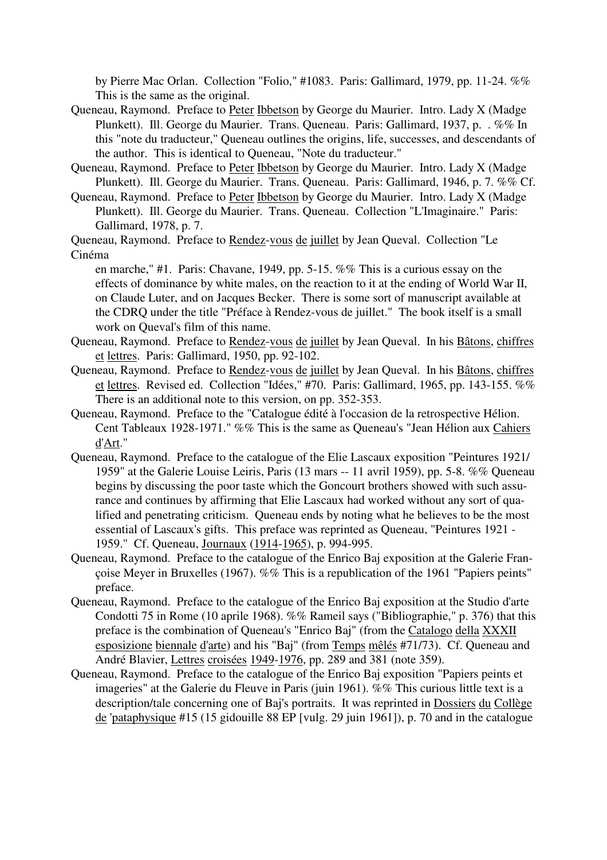by Pierre Mac Orlan. Collection "Folio," #1083. Paris: Gallimard, 1979, pp. 11-24. %% This is the same as the original.

- Queneau, Raymond. Preface to Peter Ibbetson by George du Maurier. Intro. Lady X (Madge Plunkett). Ill. George du Maurier. Trans. Queneau. Paris: Gallimard, 1937, p. . %% In this "note du traducteur," Queneau outlines the origins, life, successes, and descendants of the author. This is identical to Queneau, "Note du traducteur."
- Queneau, Raymond. Preface to Peter Ibbetson by George du Maurier. Intro. Lady X (Madge Plunkett). Ill. George du Maurier. Trans. Queneau. Paris: Gallimard, 1946, p. 7. %% Cf.
- Queneau, Raymond. Preface to Peter Ibbetson by George du Maurier. Intro. Lady X (Madge Plunkett). Ill. George du Maurier. Trans. Queneau. Collection "L'Imaginaire." Paris: Gallimard, 1978, p. 7.

Queneau, Raymond. Preface to Rendez-vous de juillet by Jean Queval. Collection "Le Cinéma

en marche," #1. Paris: Chavane, 1949, pp. 5-15. %% This is a curious essay on the effects of dominance by white males, on the reaction to it at the ending of World War II, on Claude Luter, and on Jacques Becker. There is some sort of manuscript available at the CDRQ under the title "Préface à Rendez-vous de juillet." The book itself is a small work on Queval's film of this name.

- Queneau, Raymond. Preface to Rendez-vous de juillet by Jean Queval. In his Bâtons, chiffres et lettres. Paris: Gallimard, 1950, pp. 92-102.
- Queneau, Raymond. Preface to Rendez-vous de juillet by Jean Queval. In his Bâtons, chiffres et lettres. Revised ed. Collection "Idées," #70. Paris: Gallimard, 1965, pp. 143-155. %% There is an additional note to this version, on pp. 352-353.
- Queneau, Raymond. Preface to the "Catalogue édité à l'occasion de la retrospective Hélion. Cent Tableaux 1928-1971." %% This is the same as Queneau's "Jean Hélion aux Cahiers d'Art."
- Queneau, Raymond. Preface to the catalogue of the Elie Lascaux exposition "Peintures 1921/ 1959" at the Galerie Louise Leiris, Paris (13 mars -- 11 avril 1959), pp. 5-8. %% Queneau begins by discussing the poor taste which the Goncourt brothers showed with such assurance and continues by affirming that Elie Lascaux had worked without any sort of qualified and penetrating criticism. Queneau ends by noting what he believes to be the most essential of Lascaux's gifts. This preface was reprinted as Queneau, "Peintures 1921 - 1959." Cf. Queneau, Journaux (1914-1965), p. 994-995.
- Queneau, Raymond. Preface to the catalogue of the Enrico Baj exposition at the Galerie Françoise Meyer in Bruxelles (1967). %% This is a republication of the 1961 "Papiers peints" preface.
- Queneau, Raymond. Preface to the catalogue of the Enrico Baj exposition at the Studio d'arte Condotti 75 in Rome (10 aprile 1968). %% Rameil says ("Bibliographie," p. 376) that this preface is the combination of Queneau's "Enrico Baj" (from the Catalogo della XXXII esposizione biennale d'arte) and his "Baj" (from Temps mêlés #71/73). Cf. Queneau and André Blavier, Lettres croisées 1949-1976, pp. 289 and 381 (note 359).
- Queneau, Raymond. Preface to the catalogue of the Enrico Baj exposition "Papiers peints et imageries" at the Galerie du Fleuve in Paris (juin 1961). %% This curious little text is a description/tale concerning one of Baj's portraits. It was reprinted in Dossiers du Collège de 'pataphysique #15 (15 gidouille 88 EP [vulg. 29 juin 1961]), p. 70 and in the catalogue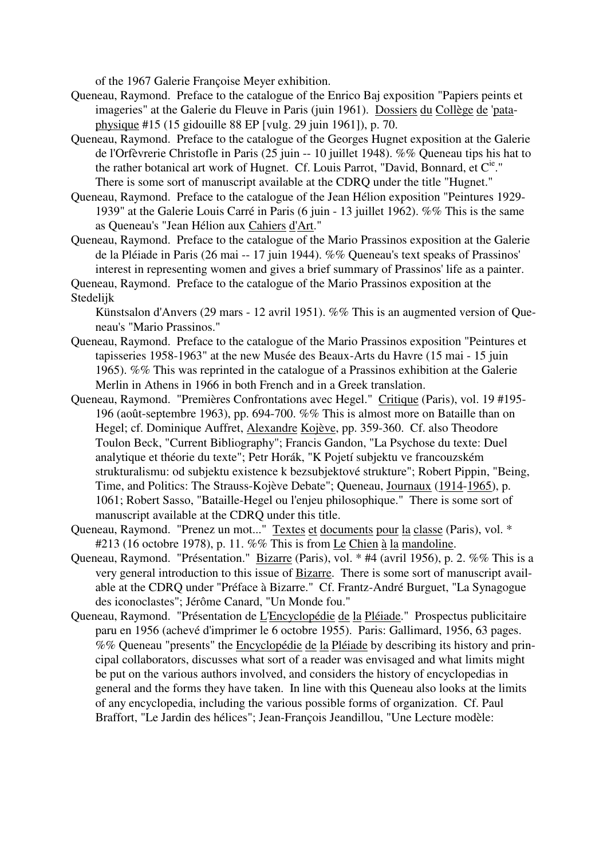of the 1967 Galerie Françoise Meyer exhibition.

- Queneau, Raymond. Preface to the catalogue of the Enrico Baj exposition "Papiers peints et imageries" at the Galerie du Fleuve in Paris (juin 1961). Dossiers du Collège de 'pataphysique #15 (15 gidouille 88 EP [vulg. 29 juin 1961]), p. 70.
- Queneau, Raymond. Preface to the catalogue of the Georges Hugnet exposition at the Galerie de l'Orfèvrerie Christofle in Paris (25 juin -- 10 juillet 1948). %% Queneau tips his hat to the rather botanical art work of Hugnet. Cf. Louis Parrot, "David, Bonnard, et  $C^{ie}$ ." There is some sort of manuscript available at the CDRQ under the title "Hugnet."
- Queneau, Raymond. Preface to the catalogue of the Jean Hélion exposition "Peintures 1929- 1939" at the Galerie Louis Carré in Paris (6 juin - 13 juillet 1962). %% This is the same as Queneau's "Jean Hélion aux Cahiers d'Art."
- Queneau, Raymond. Preface to the catalogue of the Mario Prassinos exposition at the Galerie de la Pléiade in Paris (26 mai -- 17 juin 1944). %% Queneau's text speaks of Prassinos' interest in representing women and gives a brief summary of Prassinos' life as a painter.
- Queneau, Raymond. Preface to the catalogue of the Mario Prassinos exposition at the Stedelijk

Künstsalon d'Anvers (29 mars - 12 avril 1951). %% This is an augmented version of Queneau's "Mario Prassinos."

- Queneau, Raymond. Preface to the catalogue of the Mario Prassinos exposition "Peintures et tapisseries 1958-1963" at the new Musée des Beaux-Arts du Havre (15 mai - 15 juin 1965). %% This was reprinted in the catalogue of a Prassinos exhibition at the Galerie Merlin in Athens in 1966 in both French and in a Greek translation.
- Queneau, Raymond. "Premières Confrontations avec Hegel." Critique (Paris), vol. 19 #195- 196 (août-septembre 1963), pp. 694-700. %% This is almost more on Bataille than on Hegel; cf. Dominique Auffret, Alexandre Kojève, pp. 359-360. Cf. also Theodore Toulon Beck, "Current Bibliography"; Francis Gandon, "La Psychose du texte: Duel analytique et théorie du texte"; Petr Horák, "K Pojetí subjektu ve francouzském strukturalismu: od subjektu existence k bezsubjektové strukture"; Robert Pippin, "Being, Time, and Politics: The Strauss-Kojève Debate"; Queneau, Journaux (1914-1965), p. 1061; Robert Sasso, "Bataille-Hegel ou l'enjeu philosophique." There is some sort of manuscript available at the CDRQ under this title.
- Queneau, Raymond. "Prenez un mot..." Textes et documents pour la classe (Paris), vol. \* #213 (16 octobre 1978), p. 11. %% This is from Le Chien à la mandoline.
- Queneau, Raymond. "Présentation." Bizarre (Paris), vol. \* #4 (avril 1956), p. 2. %% This is a very general introduction to this issue of Bizarre. There is some sort of manuscript available at the CDRQ under "Préface à Bizarre." Cf. Frantz-André Burguet, "La Synagogue des iconoclastes"; Jérôme Canard, "Un Monde fou."
- Queneau, Raymond. "Présentation de L'Encyclopédie de la Pléiade." Prospectus publicitaire paru en 1956 (achevé d'imprimer le 6 octobre 1955). Paris: Gallimard, 1956, 63 pages. %% Queneau "presents" the Encyclopédie de la Pléiade by describing its history and principal collaborators, discusses what sort of a reader was envisaged and what limits might be put on the various authors involved, and considers the history of encyclopedias in general and the forms they have taken. In line with this Queneau also looks at the limits of any encyclopedia, including the various possible forms of organization. Cf. Paul Braffort, "Le Jardin des hélices"; Jean-François Jeandillou, "Une Lecture modèle: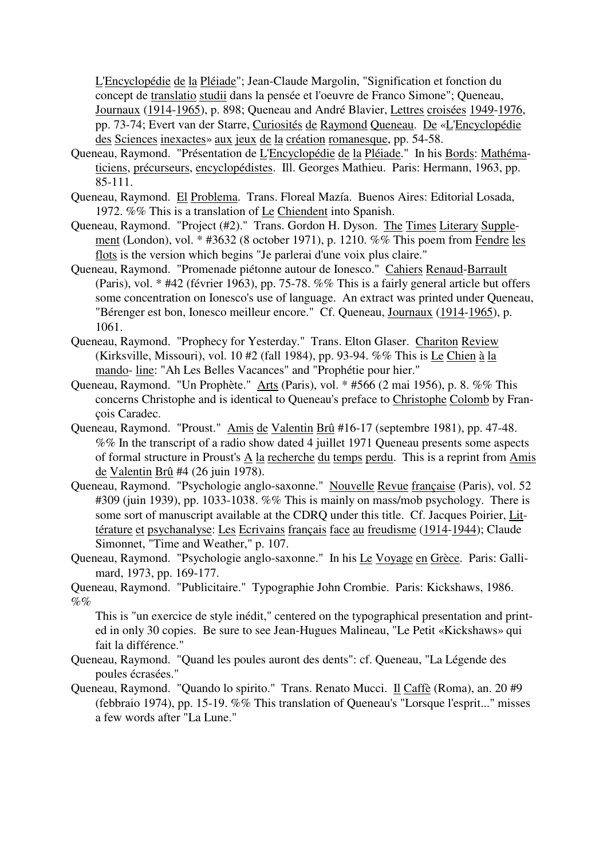L'Encyclopédie de la Pléiade"; Jean-Claude Margolin, "Signification et fonction du concept de translatio studii dans la pensée et l'oeuvre de Franco Simone"; Queneau, Journaux (1914-1965), p. 898; Queneau and André Blavier, Lettres croisées 1949-1976, pp. 73-74; Evert van der Starre, Curiosités de Raymond Queneau. De «L'Encyclopédie des Sciences inexactes» aux jeux de la création romanesque, pp. 54-58.

- Queneau, Raymond. "Présentation de L'Encyclopédie de la Pléiade." In his Bords: Mathématiciens, précurseurs, encyclopédistes. Ill. Georges Mathieu. Paris: Hermann, 1963, pp. 85-111.
- Queneau, Raymond. El Problema. Trans. Floreal Mazía. Buenos Aires: Editorial Losada, 1972. %% This is a translation of Le Chiendent into Spanish.
- Queneau, Raymond. "Project (#2)." Trans. Gordon H. Dyson. The Times Literary Supplement (London), vol. \* #3632 (8 october 1971), p. 1210. %% This poem from Fendre les flots is the version which begins "Je parlerai d'une voix plus claire."
- Queneau, Raymond. "Promenade piétonne autour de Ionesco." Cahiers Renaud-Barrault (Paris), vol. \* #42 (février 1963), pp. 75-78. %% This is a fairly general article but offers some concentration on Ionesco's use of language. An extract was printed under Queneau, "Bérenger est bon, Ionesco meilleur encore." Cf. Queneau, Journaux (1914-1965), p. 1061.
- Queneau, Raymond. "Prophecy for Yesterday." Trans. Elton Glaser. Chariton Review (Kirksville, Missouri), vol. 10 #2 (fall 1984), pp. 93-94. %% This is Le Chien à la mando- line: "Ah Les Belles Vacances" and "Prophétie pour hier."
- Queneau, Raymond. "Un Prophète." Arts (Paris), vol. \* #566 (2 mai 1956), p. 8. %% This concerns Christophe and is identical to Queneau's preface to Christophe Colomb by François Caradec.
- Queneau, Raymond. "Proust." Amis de Valentin Brû #16-17 (septembre 1981), pp. 47-48. %% In the transcript of a radio show dated 4 juillet 1971 Queneau presents some aspects of formal structure in Proust's A la recherche du temps perdu. This is a reprint from Amis de Valentin Brû #4 (26 juin 1978).
- Queneau, Raymond. "Psychologie anglo-saxonne." Nouvelle Revue française (Paris), vol. 52  $\#309$  (juin 1939), pp. 1033-1038. %% This is mainly on mass/mob psychology. There is some sort of manuscript available at the CDRQ under this title. Cf. Jacques Poirier, Littérature et psychanalyse: Les Ecrivains français face au freudisme (1914-1944); Claude Simonnet, "Time and Weather," p. 107.
- Queneau, Raymond. "Psychologie anglo-saxonne." In his Le Voyage en Grèce. Paris: Gallimard, 1973, pp. 169-177.

Queneau, Raymond. "Publicitaire." Typographie John Crombie. Paris: Kickshaws, 1986.  $\%$ %

This is "un exercice de style inédit," centered on the typographical presentation and printed in only 30 copies. Be sure to see Jean-Hugues Malineau, "Le Petit «Kickshaws» qui fait la différence."

- Queneau, Raymond. "Quand les poules auront des dents": cf. Queneau, "La Légende des poules écrasées."
- Queneau, Raymond. "Quando lo spirito." Trans. Renato Mucci. Il Caffè (Roma), an. 20 #9 (febbraio 1974), pp. 15-19. %% This translation of Queneau's "Lorsque l'esprit..." misses a few words after "La Lune."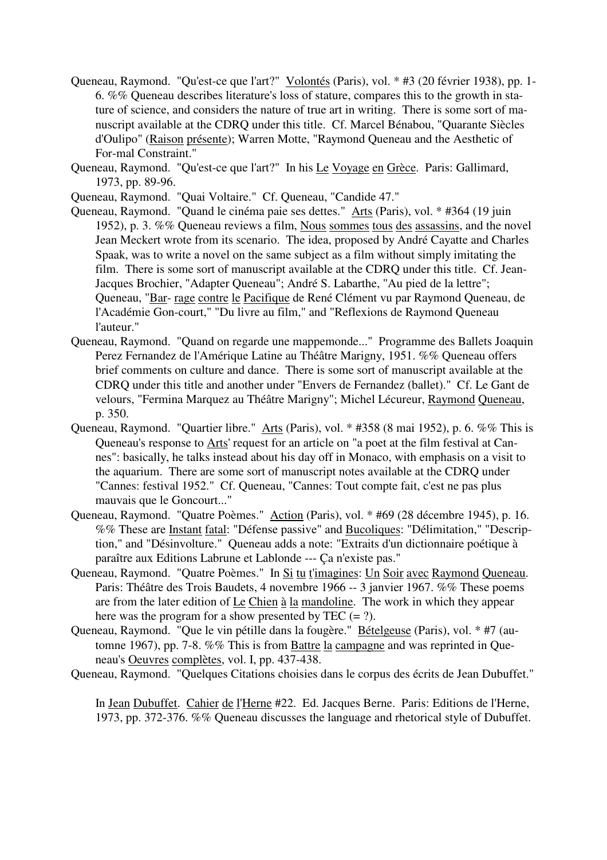- Queneau, Raymond. "Qu'est-ce que l'art?" Volontés (Paris), vol. \* #3 (20 février 1938), pp. 1- 6. %% Queneau describes literature's loss of stature, compares this to the growth in stature of science, and considers the nature of true art in writing. There is some sort of manuscript available at the CDRQ under this title. Cf. Marcel Bénabou, "Quarante Siècles d'Oulipo" (Raison présente); Warren Motte, "Raymond Queneau and the Aesthetic of For-mal Constraint."
- Queneau, Raymond. "Qu'est-ce que l'art?" In his Le Voyage en Grèce. Paris: Gallimard, 1973, pp. 89-96.
- Queneau, Raymond. "Quai Voltaire." Cf. Queneau, "Candide 47."
- Queneau, Raymond. "Quand le cinéma paie ses dettes." Arts (Paris), vol. \* #364 (19 juin 1952), p. 3. %% Queneau reviews a film, Nous sommes tous des assassins, and the novel Jean Meckert wrote from its scenario. The idea, proposed by André Cayatte and Charles Spaak, was to write a novel on the same subject as a film without simply imitating the film. There is some sort of manuscript available at the CDRQ under this title. Cf. Jean-Jacques Brochier, "Adapter Queneau"; André S. Labarthe, "Au pied de la lettre"; Queneau, "Bar- rage contre le Pacifique de René Clément vu par Raymond Queneau, de l'Académie Gon-court," "Du livre au film," and "Reflexions de Raymond Queneau l'auteur."
- Queneau, Raymond. "Quand on regarde une mappemonde..." Programme des Ballets Joaquin Perez Fernandez de l'Amérique Latine au Théâtre Marigny, 1951. %% Queneau offers brief comments on culture and dance. There is some sort of manuscript available at the CDRQ under this title and another under "Envers de Fernandez (ballet)." Cf. Le Gant de velours, "Fermina Marquez au Théâtre Marigny"; Michel Lécureur, Raymond Queneau, p. 350.
- Queneau, Raymond. "Quartier libre." Arts (Paris), vol. \* #358 (8 mai 1952), p. 6. %% This is Queneau's response to Arts' request for an article on "a poet at the film festival at Cannes": basically, he talks instead about his day off in Monaco, with emphasis on a visit to the aquarium. There are some sort of manuscript notes available at the CDRQ under "Cannes: festival 1952." Cf. Queneau, "Cannes: Tout compte fait, c'est ne pas plus mauvais que le Goncourt..."
- Queneau, Raymond. "Quatre Poèmes." Action (Paris), vol. \* #69 (28 décembre 1945), p. 16. %% These are Instant fatal: "Défense passive" and Bucoliques: "Délimitation," "Description," and "Désinvolture." Queneau adds a note: "Extraits d'un dictionnaire poétique à paraître aux Editions Labrune et Lablonde --- Ça n'existe pas."
- Queneau, Raymond. "Quatre Poèmes." In Si tu t'imagines: Un Soir avec Raymond Queneau. Paris: Théâtre des Trois Baudets, 4 novembre 1966 -- 3 janvier 1967. %% These poems are from the later edition of Le Chien à la mandoline. The work in which they appear here was the program for a show presented by TEC  $(= ?)$ .
- Queneau, Raymond. "Que le vin pétille dans la fougère." Bételgeuse (Paris), vol. \* #7 (automne 1967), pp. 7-8. %% This is from Battre la campagne and was reprinted in Queneau's Oeuvres complètes, vol. I, pp. 437-438.
- Queneau, Raymond. "Quelques Citations choisies dans le corpus des écrits de Jean Dubuffet."

In Jean Dubuffet. Cahier de l'Herne #22. Ed. Jacques Berne. Paris: Editions de l'Herne, 1973, pp. 372-376. %% Queneau discusses the language and rhetorical style of Dubuffet.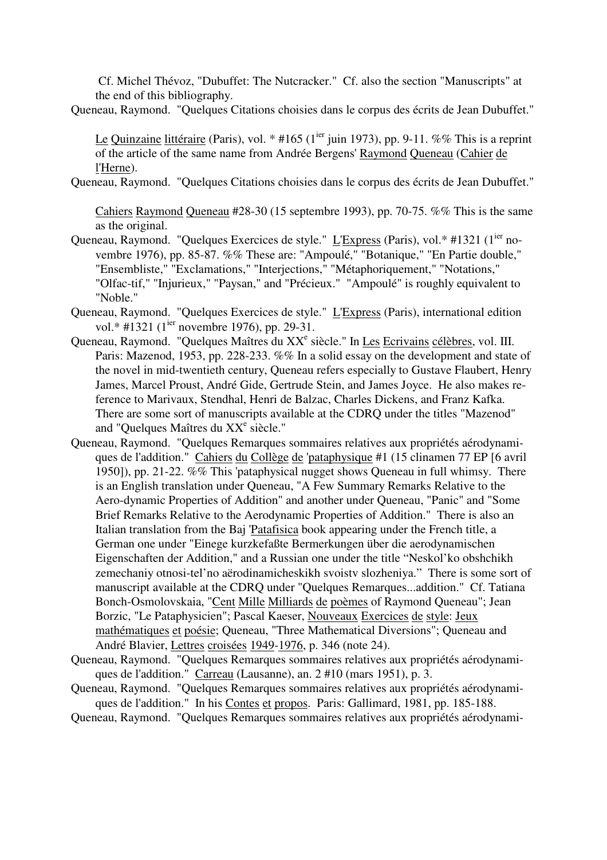Cf. Michel Thévoz, "Dubuffet: The Nutcracker." Cf. also the section "Manuscripts" at the end of this bibliography.

Queneau, Raymond. "Quelques Citations choisies dans le corpus des écrits de Jean Dubuffet."

Le Quinzaine littéraire (Paris), vol. \* #165 (1<sup>ier</sup> juin 1973), pp. 9-11. %% This is a reprint of the article of the same name from Andrée Bergens' Raymond Queneau (Cahier de l'Herne).

Queneau, Raymond. "Quelques Citations choisies dans le corpus des écrits de Jean Dubuffet."

Cahiers Raymond Queneau #28-30 (15 septembre 1993), pp. 70-75. %% This is the same as the original.

- Queneau, Raymond. "Quelques Exercices de style." L'Express (Paris), vol.\* #1321 (1<sup>ier</sup> novembre 1976), pp. 85-87. %% These are: "Ampoulé," "Botanique," "En Partie double," "Ensembliste," "Exclamations," "Interjections," "Métaphoriquement," "Notations," "Olfac-tif," "Injurieux," "Paysan," and "Précieux." "Ampoulé" is roughly equivalent to "Noble."
- Queneau, Raymond. "Quelques Exercices de style." L'Express (Paris), international edition vol.\* #1321 (1<sup>ier</sup> novembre 1976), pp. 29-31.
- Queneau, Raymond. "Quelques Maîtres du XX<sup>e</sup> siècle." In Les Ecrivains célèbres, vol. III. Paris: Mazenod, 1953, pp. 228-233. %% In a solid essay on the development and state of the novel in mid-twentieth century, Queneau refers especially to Gustave Flaubert, Henry James, Marcel Proust, André Gide, Gertrude Stein, and James Joyce. He also makes reference to Marivaux, Stendhal, Henri de Balzac, Charles Dickens, and Franz Kafka. There are some sort of manuscripts available at the CDRQ under the titles "Mazenod" and "Quelques Maîtres du XX<sup>e</sup> siècle."
- Queneau, Raymond. "Quelques Remarques sommaires relatives aux propriétés aérodynamiques de l'addition." Cahiers du Collège de 'pataphysique #1 (15 clinamen 77 EP [6 avril 1950]), pp. 21-22. %% This 'pataphysical nugget shows Queneau in full whimsy. There is an English translation under Queneau, "A Few Summary Remarks Relative to the Aero-dynamic Properties of Addition" and another under Queneau, "Panic" and "Some Brief Remarks Relative to the Aerodynamic Properties of Addition." There is also an Italian translation from the Baj 'Patafisica book appearing under the French title, a German one under "Einege kurzkefaßte Bermerkungen über die aerodynamischen Eigenschaften der Addition," and a Russian one under the title "Neskol'ko obshchikh zemechaniy otnosi-tel'no aërodinamicheskikh svoistv slozheniya." There is some sort of manuscript available at the CDRQ under "Quelques Remarques...addition." Cf. Tatiana Bonch-Osmolovskaia, "Cent Mille Milliards de poèmes of Raymond Queneau"; Jean Borzic, "Le Pataphysicien"; Pascal Kaeser, Nouveaux Exercices de style: Jeux mathématiques et poésie; Queneau, "Three Mathematical Diversions"; Queneau and André Blavier, Lettres croisées 1949-1976, p. 346 (note 24).
- Queneau, Raymond. "Quelques Remarques sommaires relatives aux propriétés aérodynamiques de l'addition." Carreau (Lausanne), an. 2 #10 (mars 1951), p. 3.
- Queneau, Raymond. "Quelques Remarques sommaires relatives aux propriétés aérodynamiques de l'addition." In his Contes et propos. Paris: Gallimard, 1981, pp. 185-188.

Queneau, Raymond. "Quelques Remarques sommaires relatives aux propriétés aérodynami-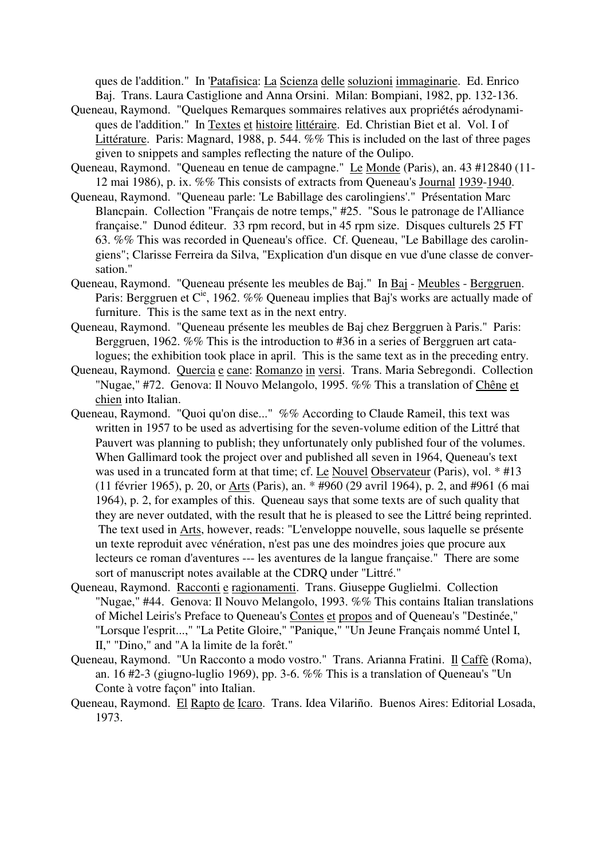ques de l'addition." In 'Patafisica: La Scienza delle soluzioni immaginarie. Ed. Enrico Baj. Trans. Laura Castiglione and Anna Orsini. Milan: Bompiani, 1982, pp. 132-136.

- Queneau, Raymond. "Quelques Remarques sommaires relatives aux propriétés aérodynamiques de l'addition." In Textes et histoire littéraire. Ed. Christian Biet et al. Vol. I of Littérature. Paris: Magnard, 1988, p. 544. %% This is included on the last of three pages given to snippets and samples reflecting the nature of the Oulipo.
- Queneau, Raymond. "Queneau en tenue de campagne." Le Monde (Paris), an. 43 #12840 (11- 12 mai 1986), p. ix. %% This consists of extracts from Queneau's Journal 1939-1940.
- Queneau, Raymond. "Queneau parle: 'Le Babillage des carolingiens'." Présentation Marc Blancpain. Collection "Français de notre temps," #25. "Sous le patronage de l'Alliance française." Dunod éditeur. 33 rpm record, but in 45 rpm size. Disques culturels 25 FT 63. %% This was recorded in Queneau's office. Cf. Queneau, "Le Babillage des carolingiens"; Clarisse Ferreira da Silva, "Explication d'un disque en vue d'une classe de conversation."
- Queneau, Raymond. "Queneau présente les meubles de Baj." In Baj Meubles Berggruen. Paris: Berggruen et C<sup>ie</sup>, 1962. %% Queneau implies that Baj's works are actually made of furniture. This is the same text as in the next entry.
- Queneau, Raymond. "Queneau présente les meubles de Baj chez Berggruen à Paris." Paris: Berggruen, 1962. %% This is the introduction to #36 in a series of Berggruen art catalogues; the exhibition took place in april. This is the same text as in the preceding entry.
- Queneau, Raymond. Quercia e cane: Romanzo in versi. Trans. Maria Sebregondi. Collection "Nugae," #72. Genova: Il Nouvo Melangolo, 1995. %% This a translation of Chêne et chien into Italian.
- Queneau, Raymond. "Quoi qu'on dise..." %% According to Claude Rameil, this text was written in 1957 to be used as advertising for the seven-volume edition of the Littré that Pauvert was planning to publish; they unfortunately only published four of the volumes. When Gallimard took the project over and published all seven in 1964, Queneau's text was used in a truncated form at that time; cf. Le Nouvel Observateur (Paris), vol. \* #13 (11 février 1965), p. 20, or Arts (Paris), an. \* #960 (29 avril 1964), p. 2, and #961 (6 mai 1964), p. 2, for examples of this. Queneau says that some texts are of such quality that they are never outdated, with the result that he is pleased to see the Littré being reprinted. The text used in Arts, however, reads: "L'enveloppe nouvelle, sous laquelle se présente un texte reproduit avec vénération, n'est pas une des moindres joies que procure aux lecteurs ce roman d'aventures --- les aventures de la langue française." There are some sort of manuscript notes available at the CDRQ under "Littré."
- Queneau, Raymond. Racconti e ragionamenti. Trans. Giuseppe Guglielmi. Collection "Nugae," #44. Genova: Il Nouvo Melangolo, 1993. %% This contains Italian translations of Michel Leiris's Preface to Queneau's Contes et propos and of Queneau's "Destinée," "Lorsque l'esprit...," "La Petite Gloire," "Panique," "Un Jeune Français nommé Untel I, II," "Dino," and "A la limite de la forêt."
- Queneau, Raymond. "Un Racconto a modo vostro." Trans. Arianna Fratini. Il Caffè (Roma), an. 16 #2-3 (giugno-luglio 1969), pp. 3-6. %% This is a translation of Queneau's "Un Conte à votre façon" into Italian.
- Queneau, Raymond. El Rapto de Icaro. Trans. Idea Vilariño. Buenos Aires: Editorial Losada, 1973.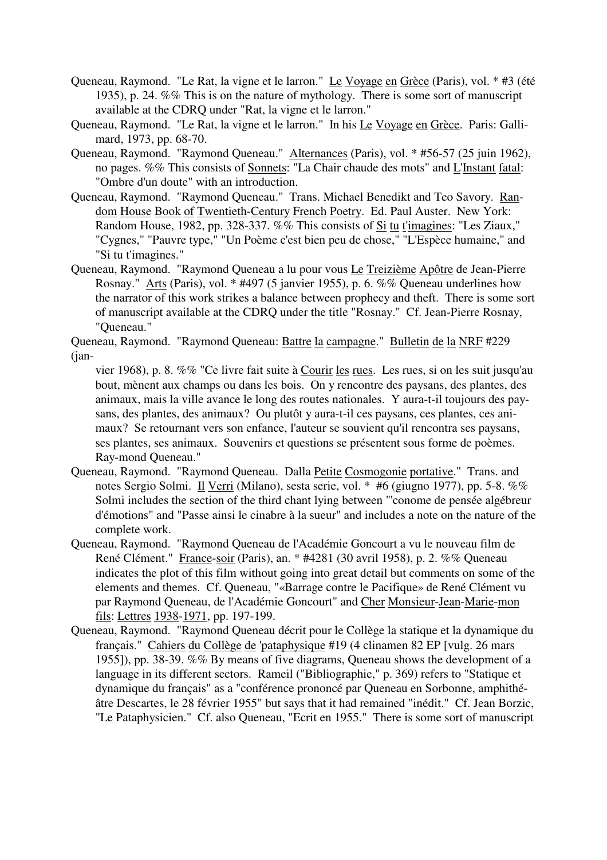- Queneau, Raymond. "Le Rat, la vigne et le larron." Le Voyage en Grèce (Paris), vol. \* #3 (été 1935), p. 24. %% This is on the nature of mythology. There is some sort of manuscript available at the CDRQ under "Rat, la vigne et le larron."
- Queneau, Raymond. "Le Rat, la vigne et le larron." In his Le Voyage en Grèce. Paris: Gallimard, 1973, pp. 68-70.
- Queneau, Raymond. "Raymond Queneau." Alternances (Paris), vol. \* #56-57 (25 juin 1962), no pages. %% This consists of Sonnets: "La Chair chaude des mots" and L'Instant fatal: "Ombre d'un doute" with an introduction.
- Queneau, Raymond. "Raymond Queneau." Trans. Michael Benedikt and Teo Savory. Random House Book of Twentieth-Century French Poetry. Ed. Paul Auster. New York: Random House, 1982, pp. 328-337. %% This consists of Si tu t'imagines: "Les Ziaux," "Cygnes," "Pauvre type," "Un Poème c'est bien peu de chose," "L'Espèce humaine," and "Si tu t'imagines."
- Queneau, Raymond. "Raymond Queneau a lu pour vous Le Treizième Apôtre de Jean-Pierre Rosnay." Arts (Paris), vol. \* #497 (5 janvier 1955), p. 6. %% Queneau underlines how the narrator of this work strikes a balance between prophecy and theft. There is some sort of manuscript available at the CDRQ under the title "Rosnay." Cf. Jean-Pierre Rosnay, "Queneau."
- Queneau, Raymond. "Raymond Queneau: Battre la campagne." Bulletin de la NRF #229 (jan
	- vier 1968), p. 8. %% "Ce livre fait suite à Courir les rues. Les rues, si on les suit jusqu'au bout, mènent aux champs ou dans les bois. On y rencontre des paysans, des plantes, des animaux, mais la ville avance le long des routes nationales. Y aura-t-il toujours des paysans, des plantes, des animaux? Ou plutôt y aura-t-il ces paysans, ces plantes, ces animaux? Se retournant vers son enfance, l'auteur se souvient qu'il rencontra ses paysans, ses plantes, ses animaux. Souvenirs et questions se présentent sous forme de poèmes. Ray-mond Queneau."
- Queneau, Raymond. "Raymond Queneau. Dalla Petite Cosmogonie portative." Trans. and notes Sergio Solmi. Il Verri (Milano), sesta serie, vol. \* #6 (giugno 1977), pp. 5-8. %% Solmi includes the section of the third chant lying between "'conome de pensée algébreur d'émotions" and "Passe ainsi le cinabre à la sueur" and includes a note on the nature of the complete work.
- Queneau, Raymond. "Raymond Queneau de l'Académie Goncourt a vu le nouveau film de René Clément." France-soir (Paris), an. \* #4281 (30 avril 1958), p. 2. %% Queneau indicates the plot of this film without going into great detail but comments on some of the elements and themes. Cf. Queneau, "«Barrage contre le Pacifique» de René Clément vu par Raymond Queneau, de l'Académie Goncourt" and Cher Monsieur-Jean-Marie-mon fils: Lettres 1938-1971, pp. 197-199.
- Queneau, Raymond. "Raymond Queneau décrit pour le Collège la statique et la dynamique du français." Cahiers du Collège de 'pataphysique #19 (4 clinamen 82 EP [vulg. 26 mars 1955]), pp. 38-39. %% By means of five diagrams, Queneau shows the development of a language in its different sectors. Rameil ("Bibliographie," p. 369) refers to "Statique et dynamique du français" as a "conférence prononcé par Queneau en Sorbonne, amphithéâtre Descartes, le 28 février 1955" but says that it had remained "inédit." Cf. Jean Borzic, "Le Pataphysicien." Cf. also Queneau, "Ecrit en 1955." There is some sort of manuscript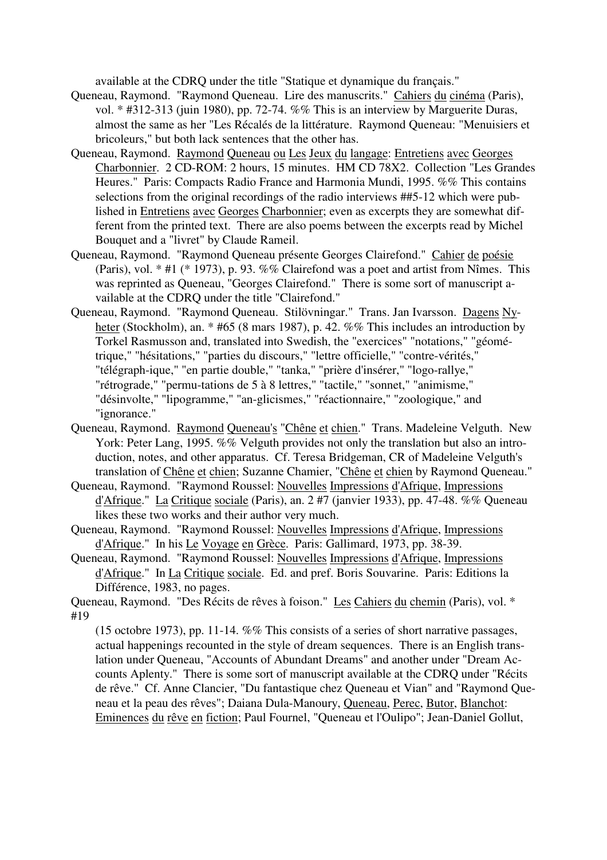available at the CDRQ under the title "Statique et dynamique du français."

- Queneau, Raymond. "Raymond Queneau. Lire des manuscrits." Cahiers du cinéma (Paris), vol. \* #312-313 (juin 1980), pp. 72-74. %% This is an interview by Marguerite Duras, almost the same as her "Les Récalés de la littérature. Raymond Queneau: "Menuisiers et bricoleurs," but both lack sentences that the other has.
- Queneau, Raymond. Raymond Queneau ou Les Jeux du langage: Entretiens avec Georges Charbonnier. 2 CD-ROM: 2 hours, 15 minutes. HM CD 78X2. Collection "Les Grandes Heures." Paris: Compacts Radio France and Harmonia Mundi, 1995. %% This contains selections from the original recordings of the radio interviews ##5-12 which were published in Entretiens avec Georges Charbonnier; even as excerpts they are somewhat different from the printed text. There are also poems between the excerpts read by Michel Bouquet and a "livret" by Claude Rameil.
- Queneau, Raymond. "Raymond Queneau présente Georges Clairefond." Cahier de poésie (Paris), vol. \* #1 (\* 1973), p. 93. %% Clairefond was a poet and artist from Nîmes. This was reprinted as Queneau, "Georges Clairefond." There is some sort of manuscript available at the CDRQ under the title "Clairefond."
- Queneau, Raymond. "Raymond Queneau. Stilövningar." Trans. Jan Ivarsson. Dagens Nyheter (Stockholm), an. \* #65 (8 mars 1987), p. 42. %% This includes an introduction by Torkel Rasmusson and, translated into Swedish, the "exercices" "notations," "géométrique," "hésitations," "parties du discours," "lettre officielle," "contre-vérités," "télégraph-ique," "en partie double," "tanka," "prière d'insérer," "logo-rallye," "rétrograde," "permu-tations de 5 à 8 lettres," "tactile," "sonnet," "animisme," "désinvolte," "lipogramme," "an-glicismes," "réactionnaire," "zoologique," and "ignorance."
- Queneau, Raymond. Raymond Queneau's "Chêne et chien." Trans. Madeleine Velguth. New York: Peter Lang, 1995. %% Velguth provides not only the translation but also an introduction, notes, and other apparatus. Cf. Teresa Bridgeman, CR of Madeleine Velguth's translation of Chêne et chien; Suzanne Chamier, "Chêne et chien by Raymond Queneau."
- Queneau, Raymond. "Raymond Roussel: Nouvelles Impressions d'Afrique, Impressions d'Afrique." La Critique sociale (Paris), an. 2 #7 (janvier 1933), pp. 47-48. %% Queneau likes these two works and their author very much.
- Queneau, Raymond. "Raymond Roussel: Nouvelles Impressions d'Afrique, Impressions d'Afrique." In his Le Voyage en Grèce. Paris: Gallimard, 1973, pp. 38-39.
- Queneau, Raymond. "Raymond Roussel: Nouvelles Impressions d'Afrique, Impressions d'Afrique." In La Critique sociale. Ed. and pref. Boris Souvarine. Paris: Editions la Différence, 1983, no pages.

Queneau, Raymond. "Des Récits de rêves à foison." Les Cahiers du chemin (Paris), vol. \* #19

(15 octobre 1973), pp. 11-14. %% This consists of a series of short narrative passages, actual happenings recounted in the style of dream sequences. There is an English translation under Queneau, "Accounts of Abundant Dreams" and another under "Dream Accounts Aplenty." There is some sort of manuscript available at the CDRQ under "Récits de rêve." Cf. Anne Clancier, "Du fantastique chez Queneau et Vian" and "Raymond Queneau et la peau des rêves"; Daiana Dula-Manoury, Queneau, Perec, Butor, Blanchot: Eminences du rêve en fiction; Paul Fournel, "Queneau et l'Oulipo"; Jean-Daniel Gollut,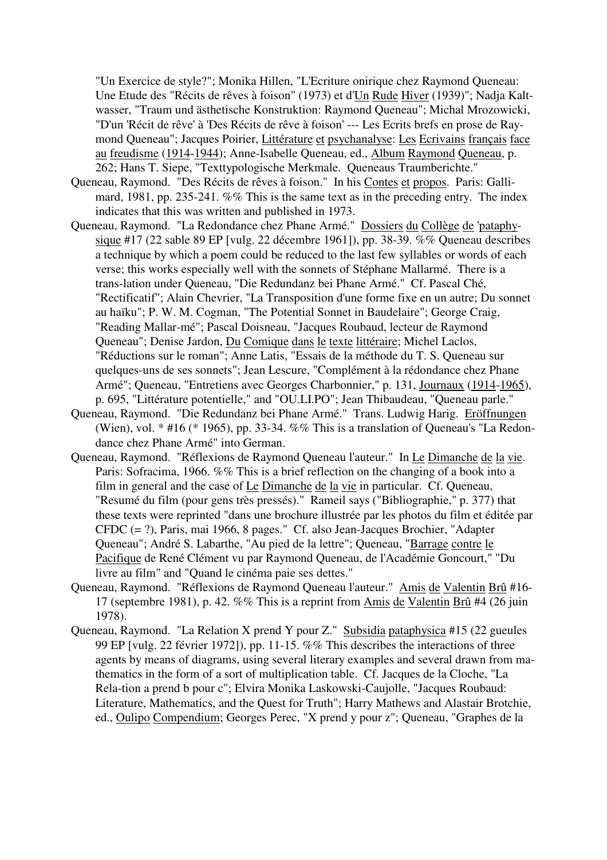"Un Exercice de style?"; Monika Hillen, "L'Ecriture onirique chez Raymond Queneau: Une Etude des "Récits de rêves à foison" (1973) et d'Un Rude Hiver (1939)"; Nadja Kaltwasser, "Traum und ästhetische Konstruktion: Raymond Queneau"; Michal Mrozowicki, "D'un 'Récit de rêve' à 'Des Récits de rêve à foison' --- Les Ecrits brefs en prose de Raymond Queneau"; Jacques Poirier, Littérature et psychanalyse: Les Ecrivains français face au freudisme (1914-1944); Anne-Isabelle Queneau, ed., Album Raymond Queneau, p. 262; Hans T. Siepe, "Texttypologische Merkmale. Queneaus Traumberichte."

- Queneau, Raymond. "Des Récits de rêves à foison." In his Contes et propos. Paris: Gallimard, 1981, pp. 235-241. %% This is the same text as in the preceding entry. The index indicates that this was written and published in 1973.
- Queneau, Raymond. "La Redondance chez Phane Armé." Dossiers du Collège de 'pataphysique #17 (22 sable 89 EP [vulg. 22 décembre 1961]), pp. 38-39. %% Queneau describes a technique by which a poem could be reduced to the last few syllables or words of each verse; this works especially well with the sonnets of Stéphane Mallarmé. There is a trans-lation under Queneau, "Die Redundanz bei Phane Armé." Cf. Pascal Ché, "Rectificatif"; Alain Chevrier, "La Transposition d'une forme fixe en un autre; Du sonnet au haïku"; P. W. M. Cogman, "The Potential Sonnet in Baudelaire"; George Craig, "Reading Mallar-mé"; Pascal Doisneau, "Jacques Roubaud, lecteur de Raymond Queneau"; Denise Jardon, Du Comique dans le texte littéraire; Michel Laclos, "Réductions sur le roman"; Anne Latis, "Essais de la méthode du T. S. Queneau sur quelques-uns de ses sonnets"; Jean Lescure, "Complément à la rédondance chez Phane Armé"; Queneau, "Entretiens avec Georges Charbonnier," p. 131, Journaux (1914-1965), p. 695, "Littérature potentielle," and "OU.LI.PO"; Jean Thibaudeau, "Queneau parle."
- Queneau, Raymond. "Die Redundanz bei Phane Armé." Trans. Ludwig Harig. Eröffnungen (Wien), vol. \* #16 (\* 1965), pp. 33-34. %% This is a translation of Queneau's "La Redondance chez Phane Armé" into German.
- Queneau, Raymond. "Réflexions de Raymond Queneau l'auteur." In Le Dimanche de la vie. Paris: Sofracima, 1966. %% This is a brief reflection on the changing of a book into a film in general and the case of Le Dimanche de la vie in particular. Cf. Queneau, "Resumé du film (pour gens très pressés)." Rameil says ("Bibliographie," p. 377) that these texts were reprinted "dans une brochure illustrée par les photos du film et éditée par CFDC (= ?), Paris, mai 1966, 8 pages." Cf. also Jean-Jacques Brochier, "Adapter Queneau"; André S. Labarthe, "Au pied de la lettre"; Queneau, "Barrage contre le Pacifique de René Clément vu par Raymond Queneau, de l'Académie Goncourt," "Du livre au film" and "Quand le cinéma paie ses dettes."
- Queneau, Raymond. "Réflexions de Raymond Queneau l'auteur." Amis de Valentin Brû #16- 17 (septembre 1981), p. 42. %% This is a reprint from Amis de Valentin Brû #4 (26 juin 1978).
- Queneau, Raymond. "La Relation X prend Y pour Z." Subsidia pataphysica #15 (22 gueules 99 EP [vulg. 22 février 1972]), pp. 11-15. %% This describes the interactions of three agents by means of diagrams, using several literary examples and several drawn from mathematics in the form of a sort of multiplication table. Cf. Jacques de la Cloche, "La Rela-tion a prend b pour c"; Elvira Monika Laskowski-Caujolle, "Jacques Roubaud: Literature, Mathematics, and the Quest for Truth"; Harry Mathews and Alastair Brotchie, ed., Oulipo Compendium; Georges Perec, "X prend y pour z"; Queneau, "Graphes de la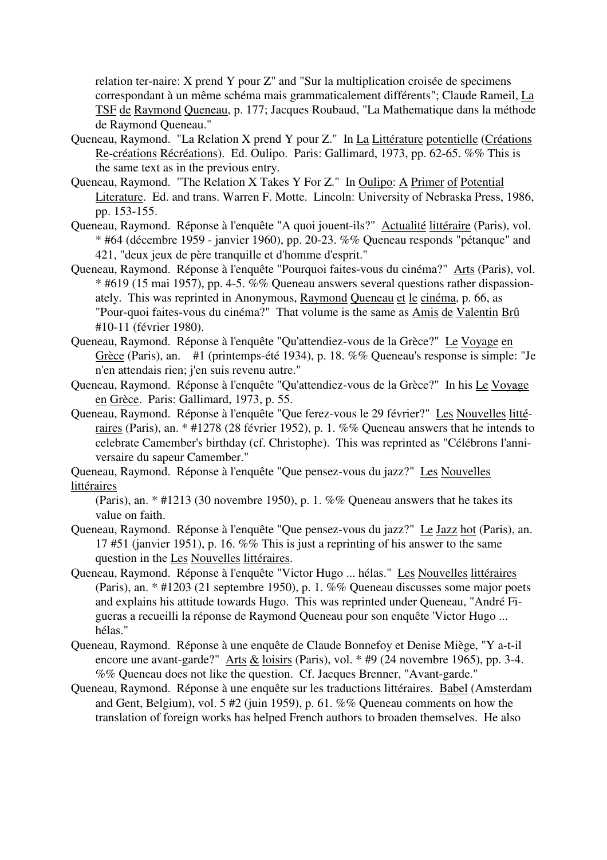relation ter-naire: X prend Y pour Z" and "Sur la multiplication croisée de specimens correspondant à un même schéma mais grammaticalement différents"; Claude Rameil, La TSF de Raymond Queneau, p. 177; Jacques Roubaud, "La Mathematique dans la méthode de Raymond Queneau."

- Queneau, Raymond. "La Relation X prend Y pour Z." In La Littérature potentielle (Créations Re-créations Récréations). Ed. Oulipo. Paris: Gallimard, 1973, pp. 62-65. %% This is the same text as in the previous entry.
- Queneau, Raymond. "The Relation X Takes Y For Z." In Oulipo: A Primer of Potential Literature. Ed. and trans. Warren F. Motte. Lincoln: University of Nebraska Press, 1986, pp. 153-155.
- Queneau, Raymond. Réponse à l'enquête "A quoi jouent-ils?" Actualité littéraire (Paris), vol. \* #64 (décembre 1959 - janvier 1960), pp. 20-23. %% Queneau responds "pétanque" and 421, "deux jeux de père tranquille et d'homme d'esprit."
- Queneau, Raymond. Réponse à l'enquête "Pourquoi faites-vous du cinéma?" Arts (Paris), vol.  $*$  #619 (15 mai 1957), pp. 4-5. %% Queneau answers several questions rather dispassionately. This was reprinted in Anonymous, Raymond Queneau et le cinéma, p. 66, as "Pour-quoi faites-vous du cinéma?" That volume is the same as Amis de Valentin Brû #10-11 (février 1980).
- Queneau, Raymond. Réponse à l'enquête "Qu'attendiez-vous de la Grèce?" Le Voyage en Grèce (Paris), an. #1 (printemps-été 1934), p. 18. %% Queneau's response is simple: "Je n'en attendais rien; j'en suis revenu autre."
- Queneau, Raymond. Réponse à l'enquête "Qu'attendiez-vous de la Grèce?" In his Le Voyage en Grèce. Paris: Gallimard, 1973, p. 55.
- Queneau, Raymond. Réponse à l'enquête "Que ferez-vous le 29 février?" Les Nouvelles littéraires (Paris), an. \* #1278 (28 février 1952), p. 1. %% Queneau answers that he intends to celebrate Camember's birthday (cf. Christophe). This was reprinted as "Célébrons l'anniversaire du sapeur Camember."

Queneau, Raymond. Réponse à l'enquête "Que pensez-vous du jazz?" Les Nouvelles littéraires

(Paris), an. \* #1213 (30 novembre 1950), p. 1. %% Queneau answers that he takes its value on faith.

- Queneau, Raymond. Réponse à l'enquête "Que pensez-vous du jazz?" Le Jazz hot (Paris), an. 17 #51 (janvier 1951), p. 16. %% This is just a reprinting of his answer to the same question in the Les Nouvelles littéraires.
- Queneau, Raymond. Réponse à l'enquête "Victor Hugo ... hélas." Les Nouvelles littéraires (Paris), an. \* #1203 (21 septembre 1950), p. 1. %% Queneau discusses some major poets and explains his attitude towards Hugo. This was reprinted under Queneau, "André Figueras a recueilli la réponse de Raymond Queneau pour son enquête 'Victor Hugo ... hélas."
- Queneau, Raymond. Réponse à une enquête de Claude Bonnefoy et Denise Miège, "Y a-t-il encore une avant-garde?" Arts  $&$  loisirs (Paris), vol. \* #9 (24 novembre 1965), pp. 3-4. %% Queneau does not like the question. Cf. Jacques Brenner, "Avant-garde."
- Queneau, Raymond. Réponse à une enquête sur les traductions littéraires. Babel (Amsterdam and Gent, Belgium), vol. 5 #2 (juin 1959), p. 61. %% Queneau comments on how the translation of foreign works has helped French authors to broaden themselves. He also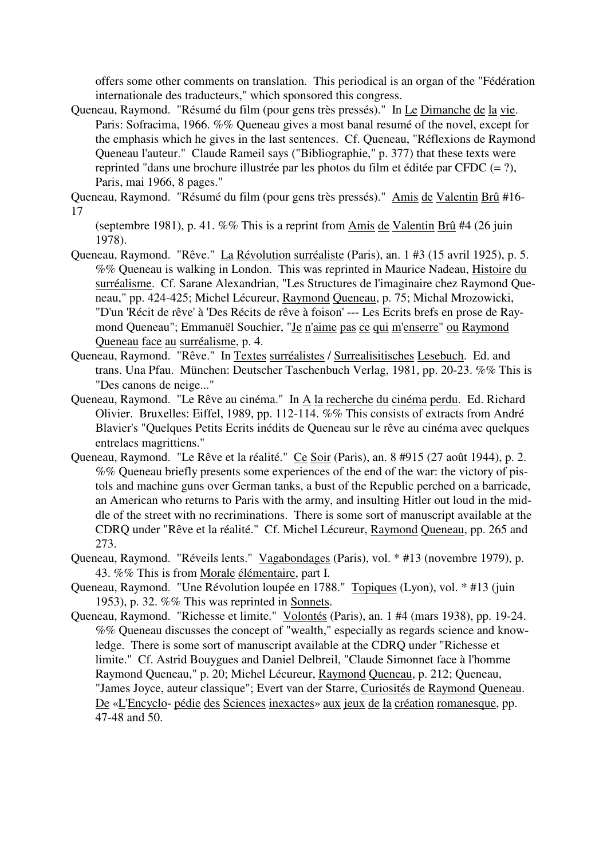offers some other comments on translation. This periodical is an organ of the "Fédération internationale des traducteurs," which sponsored this congress.

Queneau, Raymond. "Résumé du film (pour gens très pressés)." In Le Dimanche de la vie. Paris: Sofracima, 1966. %% Queneau gives a most banal resumé of the novel, except for the emphasis which he gives in the last sentences. Cf. Queneau, "Réflexions de Raymond Queneau l'auteur." Claude Rameil says ("Bibliographie," p. 377) that these texts were reprinted "dans une brochure illustrée par les photos du film et éditée par CFDC (= ?), Paris, mai 1966, 8 pages."

Queneau, Raymond. "Résumé du film (pour gens très pressés)." Amis de Valentin Brû #16- 17

(septembre 1981), p. 41. %% This is a reprint from Amis de Valentin Brû #4 (26 juin 1978).

- Queneau, Raymond. "Rêve." La Révolution surréaliste (Paris), an. 1 #3 (15 avril 1925), p. 5. %% Queneau is walking in London. This was reprinted in Maurice Nadeau, Histoire du surréalisme. Cf. Sarane Alexandrian, "Les Structures de l'imaginaire chez Raymond Queneau," pp. 424-425; Michel Lécureur, Raymond Queneau, p. 75; Michal Mrozowicki, "D'un 'Récit de rêve' à 'Des Récits de rêve à foison' --- Les Ecrits brefs en prose de Raymond Queneau"; Emmanuël Souchier, "Je n'aime pas ce qui m'enserre" ou Raymond Queneau face au surréalisme, p. 4.
- Queneau, Raymond. "Rêve." In Textes surréalistes / Surrealisitisches Lesebuch. Ed. and trans. Una Pfau. München: Deutscher Taschenbuch Verlag, 1981, pp. 20-23. %% This is "Des canons de neige..."
- Queneau, Raymond. "Le Rêve au cinéma." In A la recherche du cinéma perdu. Ed. Richard Olivier. Bruxelles: Eiffel, 1989, pp. 112-114. %% This consists of extracts from André Blavier's "Quelques Petits Ecrits inédits de Queneau sur le rêve au cinéma avec quelques entrelacs magrittiens."
- Queneau, Raymond. "Le Rêve et la réalité." Ce Soir (Paris), an. 8 #915 (27 août 1944), p. 2. %% Queneau briefly presents some experiences of the end of the war: the victory of pistols and machine guns over German tanks, a bust of the Republic perched on a barricade, an American who returns to Paris with the army, and insulting Hitler out loud in the middle of the street with no recriminations. There is some sort of manuscript available at the CDRQ under "Rêve et la réalité." Cf. Michel Lécureur, Raymond Queneau, pp. 265 and 273.
- Queneau, Raymond. "Réveils lents." Vagabondages (Paris), vol. \* #13 (novembre 1979), p. 43. %% This is from Morale élémentaire, part I.
- Queneau, Raymond. "Une Révolution loupée en 1788." Topiques (Lyon), vol. \* #13 (juin 1953), p. 32. %% This was reprinted in Sonnets.
- Queneau, Raymond. "Richesse et limite." Volontés (Paris), an. 1 #4 (mars 1938), pp. 19-24. %% Queneau discusses the concept of "wealth," especially as regards science and knowledge. There is some sort of manuscript available at the CDRQ under "Richesse et limite." Cf. Astrid Bouygues and Daniel Delbreil, "Claude Simonnet face à l'homme Raymond Queneau," p. 20; Michel Lécureur, Raymond Queneau, p. 212; Queneau, "James Joyce, auteur classique"; Evert van der Starre, Curiosités de Raymond Queneau. De «L'Encyclo- pédie des Sciences inexactes» aux jeux de la création romanesque, pp. 47-48 and 50.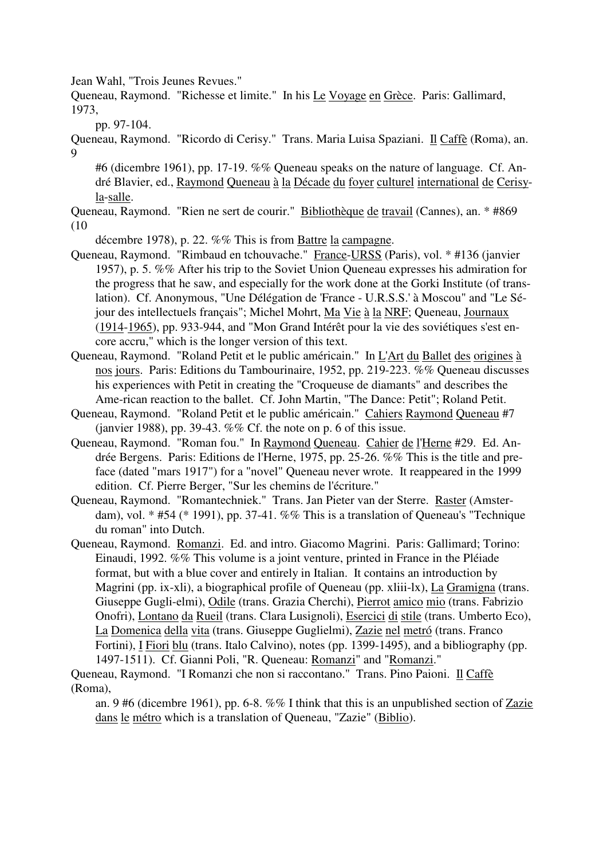Jean Wahl, "Trois Jeunes Revues."

Queneau, Raymond. "Richesse et limite." In his Le Voyage en Grèce. Paris: Gallimard, 1973,

pp. 97-104.

Queneau, Raymond. "Ricordo di Cerisy." Trans. Maria Luisa Spaziani. Il Caffè (Roma), an. 9

#6 (dicembre 1961), pp. 17-19. %% Queneau speaks on the nature of language. Cf. André Blavier, ed., Raymond Queneau à la Décade du foyer culturel international de Cerisyla-salle.

Queneau, Raymond. "Rien ne sert de courir." Bibliothèque de travail (Cannes), an. \* #869 (10

décembre 1978), p. 22. %% This is from Battre la campagne.

- Queneau, Raymond. "Rimbaud en tchouvache." France-URSS (Paris), vol. \* #136 (janvier 1957), p. 5. %% After his trip to the Soviet Union Queneau expresses his admiration for the progress that he saw, and especially for the work done at the Gorki Institute (of translation). Cf. Anonymous, "Une Délégation de 'France - U.R.S.S.' à Moscou" and "Le Séjour des intellectuels français"; Michel Mohrt, Ma Vie à la NRF; Queneau, Journaux (1914-1965), pp. 933-944, and "Mon Grand Intérêt pour la vie des soviétiques s'est encore accru," which is the longer version of this text.
- Queneau, Raymond. "Roland Petit et le public américain." In L'Art du Ballet des origines à nos jours. Paris: Editions du Tambourinaire, 1952, pp. 219-223. %% Queneau discusses his experiences with Petit in creating the "Croqueuse de diamants" and describes the Ame-rican reaction to the ballet. Cf. John Martin, "The Dance: Petit"; Roland Petit.
- Queneau, Raymond. "Roland Petit et le public américain." Cahiers Raymond Queneau #7 (janvier 1988), pp. 39-43.  $\%$ % Cf. the note on p. 6 of this issue.
- Queneau, Raymond. "Roman fou." In Raymond Queneau. Cahier de l'Herne #29. Ed. Andrée Bergens. Paris: Editions de l'Herne, 1975, pp. 25-26. %% This is the title and preface (dated "mars 1917") for a "novel" Queneau never wrote. It reappeared in the 1999 edition. Cf. Pierre Berger, "Sur les chemins de l'écriture."
- Queneau, Raymond. "Romantechniek." Trans. Jan Pieter van der Sterre. Raster (Amsterdam), vol. \* #54 (\* 1991), pp. 37-41. %% This is a translation of Queneau's "Technique du roman" into Dutch.
- Queneau, Raymond. Romanzi. Ed. and intro. Giacomo Magrini. Paris: Gallimard; Torino: Einaudi, 1992. %% This volume is a joint venture, printed in France in the Pléiade format, but with a blue cover and entirely in Italian. It contains an introduction by Magrini (pp. ix-xli), a biographical profile of Queneau (pp. xliii-lx), La Gramigna (trans. Giuseppe Gugli-elmi), Odile (trans. Grazia Cherchi), Pierrot amico mio (trans. Fabrizio Onofri), Lontano da Rueil (trans. Clara Lusignoli), Esercici di stile (trans. Umberto Eco), La Domenica della vita (trans. Giuseppe Guglielmi), Zazie nel metró (trans. Franco Fortini), I Fiori blu (trans. Italo Calvino), notes (pp. 1399-1495), and a bibliography (pp. 1497-1511). Cf. Gianni Poli, "R. Queneau: Romanzi" and "Romanzi."

Queneau, Raymond. "I Romanzi che non si raccontano." Trans. Pino Paioni. Il Caffè (Roma),

an. 9 #6 (dicembre 1961), pp. 6-8. %% I think that this is an unpublished section of Zazie dans le métro which is a translation of Queneau, "Zazie" (Biblio).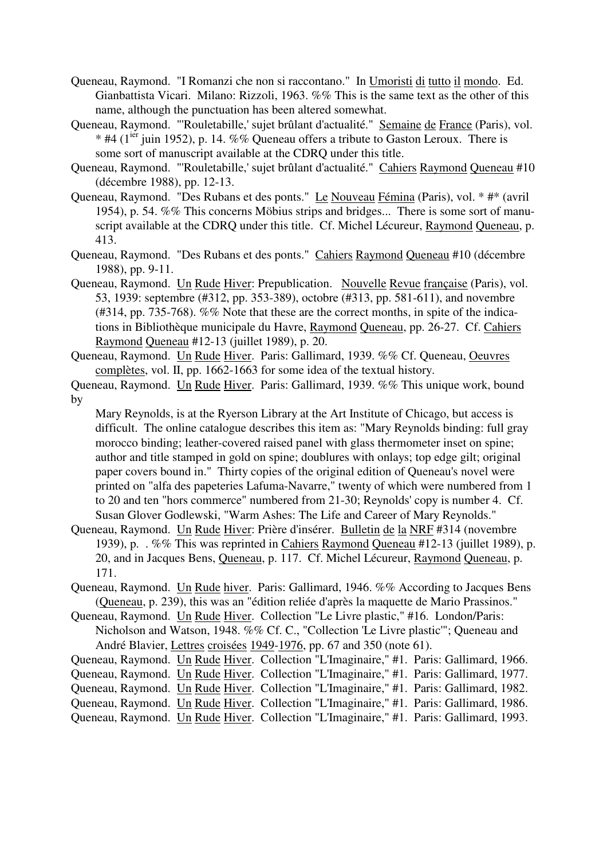- Queneau, Raymond. "I Romanzi che non si raccontano." In Umoristi di tutto il mondo. Ed. Gianbattista Vicari. Milano: Rizzoli, 1963. %% This is the same text as the other of this name, although the punctuation has been altered somewhat.
- Queneau, Raymond. "'Rouletabille,' sujet brûlant d'actualité." Semaine de France (Paris), vol.  $*$  #4 (1<sup>ier</sup> juin 1952), p. 14. %% Queneau offers a tribute to Gaston Leroux. There is some sort of manuscript available at the CDRQ under this title.
- Queneau, Raymond. "'Rouletabille,' sujet brûlant d'actualité." Cahiers Raymond Queneau #10 (décembre 1988), pp. 12-13.
- Queneau, Raymond. "Des Rubans et des ponts." Le Nouveau Fémina (Paris), vol. \* #\* (avril 1954), p. 54. %% This concerns Möbius strips and bridges... There is some sort of manuscript available at the CDRQ under this title. Cf. Michel Lécureur, Raymond Queneau, p. 413.
- Queneau, Raymond. "Des Rubans et des ponts." Cahiers Raymond Queneau #10 (décembre 1988), pp. 9-11.
- Queneau, Raymond. Un Rude Hiver: Prepublication. Nouvelle Revue française (Paris), vol. 53, 1939: septembre (#312, pp. 353-389), octobre (#313, pp. 581-611), and novembre (#314, pp. 735-768). %% Note that these are the correct months, in spite of the indications in Bibliothèque municipale du Havre, Raymond Queneau, pp. 26-27. Cf. Cahiers Raymond Queneau #12-13 (juillet 1989), p. 20.
- Queneau, Raymond. Un Rude Hiver. Paris: Gallimard, 1939. %% Cf. Queneau, Oeuvres complètes, vol. II, pp. 1662-1663 for some idea of the textual history.

Mary Reynolds, is at the Ryerson Library at the Art Institute of Chicago, but access is difficult. The online catalogue describes this item as: "Mary Reynolds binding: full gray morocco binding; leather-covered raised panel with glass thermometer inset on spine; author and title stamped in gold on spine; doublures with onlays; top edge gilt; original paper covers bound in." Thirty copies of the original edition of Queneau's novel were printed on "alfa des papeteries Lafuma-Navarre," twenty of which were numbered from 1 to 20 and ten "hors commerce" numbered from 21-30; Reynolds' copy is number 4. Cf. Susan Glover Godlewski, "Warm Ashes: The Life and Career of Mary Reynolds."

- Queneau, Raymond. Un Rude Hiver: Prière d'insérer. Bulletin de la NRF #314 (novembre 1939), p. . %% This was reprinted in Cahiers Raymond Queneau #12-13 (juillet 1989), p. 20, and in Jacques Bens, Queneau, p. 117. Cf. Michel Lécureur, Raymond Queneau, p. 171.
- Queneau, Raymond. Un Rude hiver. Paris: Gallimard, 1946. %% According to Jacques Bens (Queneau, p. 239), this was an "édition reliée d'après la maquette de Mario Prassinos."
- Queneau, Raymond. Un Rude Hiver. Collection "Le Livre plastic," #16. London/Paris: Nicholson and Watson, 1948. %% Cf. C., "Collection 'Le Livre plastic'"; Queneau and André Blavier, Lettres croisées 1949-1976, pp. 67 and 350 (note 61).
- Queneau, Raymond. Un Rude Hiver. Collection "L'Imaginaire," #1. Paris: Gallimard, 1966.

Queneau, Raymond. Un Rude Hiver. Collection "L'Imaginaire," #1. Paris: Gallimard, 1977.

- Queneau, Raymond. Un Rude Hiver. Collection "L'Imaginaire," #1. Paris: Gallimard, 1982.
- Queneau, Raymond. Un Rude Hiver. Collection "L'Imaginaire," #1. Paris: Gallimard, 1986.
- Queneau, Raymond. Un Rude Hiver. Collection "L'Imaginaire," #1. Paris: Gallimard, 1993.

Queneau, Raymond. Un Rude Hiver. Paris: Gallimard, 1939. %% This unique work, bound by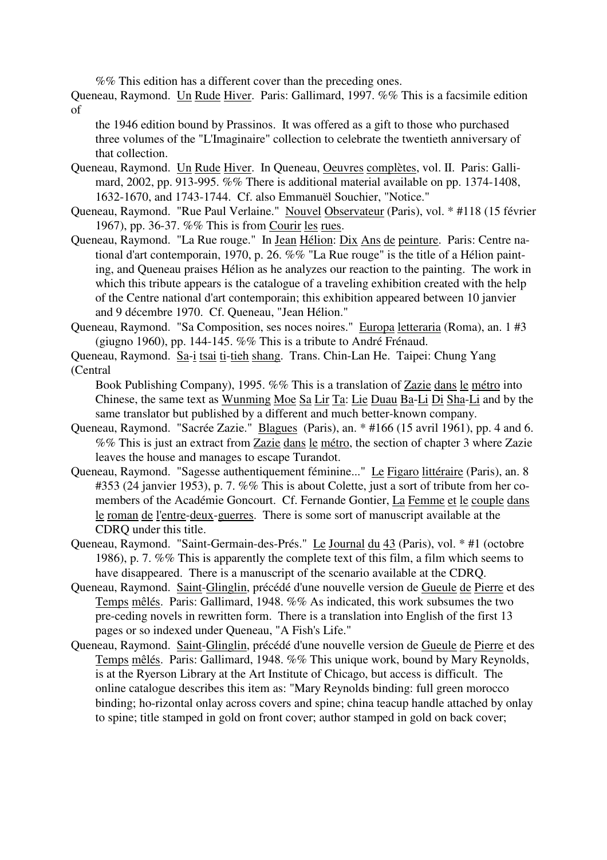%% This edition has a different cover than the preceding ones.

Queneau, Raymond. Un Rude Hiver. Paris: Gallimard, 1997. %% This is a facsimile edition of

the 1946 edition bound by Prassinos. It was offered as a gift to those who purchased three volumes of the "L'Imaginaire" collection to celebrate the twentieth anniversary of that collection.

- Queneau, Raymond. Un Rude Hiver. In Queneau, Oeuvres complètes, vol. II. Paris: Gallimard, 2002, pp. 913-995. %% There is additional material available on pp. 1374-1408, 1632-1670, and 1743-1744. Cf. also Emmanuël Souchier, "Notice."
- Queneau, Raymond. "Rue Paul Verlaine." Nouvel Observateur (Paris), vol. \* #118 (15 février 1967), pp. 36-37. %% This is from Courir les rues.
- Queneau, Raymond. "La Rue rouge." In Jean Hélion: Dix Ans de peinture. Paris: Centre national d'art contemporain, 1970, p. 26. %% "La Rue rouge" is the title of a Hélion painting, and Queneau praises Hélion as he analyzes our reaction to the painting. The work in which this tribute appears is the catalogue of a traveling exhibition created with the help of the Centre national d'art contemporain; this exhibition appeared between 10 janvier and 9 décembre 1970. Cf. Queneau, "Jean Hélion."
- Queneau, Raymond. "Sa Composition, ses noces noires." Europa letteraria (Roma), an. 1 #3 (giugno 1960), pp. 144-145. %% This is a tribute to André Frénaud.
- Queneau, Raymond. Sa-i tsai ti-tieh shang. Trans. Chin-Lan He. Taipei: Chung Yang (Central

Book Publishing Company), 1995. %% This is a translation of Zazie dans le métro into Chinese, the same text as Wunming Moe Sa Lir Ta: Lie Duau Ba-Li Di Sha-Li and by the same translator but published by a different and much better-known company.

- Queneau, Raymond. "Sacrée Zazie." Blagues (Paris), an. \* #166 (15 avril 1961), pp. 4 and 6. %% This is just an extract from Zazie dans le métro, the section of chapter 3 where Zazie leaves the house and manages to escape Turandot.
- Queneau, Raymond. "Sagesse authentiquement féminine..." Le Figaro littéraire (Paris), an. 8 #353 (24 janvier 1953), p. 7. %% This is about Colette, just a sort of tribute from her comembers of the Académie Goncourt. Cf. Fernande Gontier, La Femme et le couple dans le roman de l'entre-deux-guerres. There is some sort of manuscript available at the CDRQ under this title.
- Queneau, Raymond. "Saint-Germain-des-Prés." Le Journal du 43 (Paris), vol. \* #1 (octobre 1986), p. 7. %% This is apparently the complete text of this film, a film which seems to have disappeared. There is a manuscript of the scenario available at the CDRQ.
- Queneau, Raymond. Saint-Glinglin, précédé d'une nouvelle version de Gueule de Pierre et des Temps mêlés. Paris: Gallimard, 1948. %% As indicated, this work subsumes the two pre-ceding novels in rewritten form. There is a translation into English of the first 13 pages or so indexed under Queneau, "A Fish's Life."
- Queneau, Raymond. Saint-Glinglin, précédé d'une nouvelle version de Gueule de Pierre et des Temps mêlés. Paris: Gallimard, 1948. %% This unique work, bound by Mary Reynolds, is at the Ryerson Library at the Art Institute of Chicago, but access is difficult. The online catalogue describes this item as: "Mary Reynolds binding: full green morocco binding; ho-rizontal onlay across covers and spine; china teacup handle attached by onlay to spine; title stamped in gold on front cover; author stamped in gold on back cover;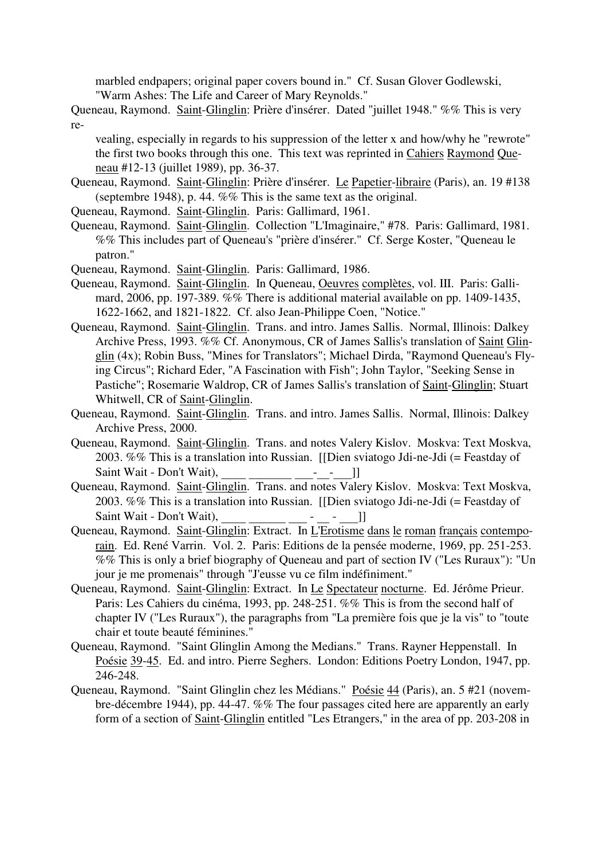marbled endpapers; original paper covers bound in." Cf. Susan Glover Godlewski, "Warm Ashes: The Life and Career of Mary Reynolds."

Queneau, Raymond. Saint-Glinglin: Prière d'insérer. Dated "juillet 1948." %% This is very re-

vealing, especially in regards to his suppression of the letter x and how/why he "rewrote" the first two books through this one. This text was reprinted in Cahiers Raymond Queneau #12-13 (juillet 1989), pp. 36-37.

- Queneau, Raymond. Saint-Glinglin: Prière d'insérer. Le Papetier-libraire (Paris), an. 19 #138 (septembre 1948), p. 44. %% This is the same text as the original.
- Queneau, Raymond. Saint-Glinglin. Paris: Gallimard, 1961.
- Queneau, Raymond. Saint-Glinglin. Collection "L'Imaginaire," #78. Paris: Gallimard, 1981. %% This includes part of Queneau's "prière d'insérer." Cf. Serge Koster, "Queneau le patron."
- Queneau, Raymond. Saint-Glinglin. Paris: Gallimard, 1986.
- Queneau, Raymond. Saint-Glinglin. In Queneau, Oeuvres complètes, vol. III. Paris: Gallimard, 2006, pp. 197-389. %% There is additional material available on pp. 1409-1435, 1622-1662, and 1821-1822. Cf. also Jean-Philippe Coen, "Notice."
- Queneau, Raymond. Saint-Glinglin. Trans. and intro. James Sallis. Normal, Illinois: Dalkey Archive Press, 1993. %% Cf. Anonymous, CR of James Sallis's translation of Saint Glinglin (4x); Robin Buss, "Mines for Translators"; Michael Dirda, "Raymond Queneau's Flying Circus"; Richard Eder, "A Fascination with Fish"; John Taylor, "Seeking Sense in Pastiche"; Rosemarie Waldrop, CR of James Sallis's translation of Saint-Glinglin; Stuart Whitwell, CR of Saint-Glinglin.
- Queneau, Raymond. Saint-Glinglin. Trans. and intro. James Sallis. Normal, Illinois: Dalkey Archive Press, 2000.
- Queneau, Raymond. Saint-Glinglin. Trans. and notes Valery Kislov. Moskva: Text Moskva, 2003. %% This is a translation into Russian. [[Dien sviatogo Jdi-ne-Jdi (= Feastday of
- Saint Wait Don't Wait), \_\_\_\_ \_\_\_\_\_\_\_ \_\_\_-\_\_-\_\_\_]] Queneau, Raymond. Saint-Glinglin. Trans. and notes Valery Kislov. Moskva: Text Moskva, 2003. %% This is a translation into Russian. [[Dien sviatogo Jdi-ne-Jdi (= Feastday of Saint Wait - Don't Wait), \_\_\_\_ \_\_\_\_\_\_\_\_\_\_\_\_ - \_\_\_ - \_\_\_\_]]<br>Queneau, Raymond. Saint-Glinglin: Extract. In <u>L'Erotisme dans le roman français contempo</u>-
- rain. Ed. René Varrin. Vol. 2. Paris: Editions de la pensée moderne, 1969, pp. 251-253. %% This is only a brief biography of Queneau and part of section IV ("Les Ruraux"): "Un jour je me promenais" through "J'eusse vu ce film indéfiniment."
- Queneau, Raymond. Saint-Glinglin: Extract. In Le Spectateur nocturne. Ed. Jérôme Prieur. Paris: Les Cahiers du cinéma, 1993, pp. 248-251. %% This is from the second half of chapter IV ("Les Ruraux"), the paragraphs from "La première fois que je la vis" to "toute chair et toute beauté féminines."
- Queneau, Raymond. "Saint Glinglin Among the Medians." Trans. Rayner Heppenstall. In Poésie 39-45. Ed. and intro. Pierre Seghers. London: Editions Poetry London, 1947, pp. 246-248.
- Queneau, Raymond. "Saint Glinglin chez les Médians." Poésie 44 (Paris), an. 5 #21 (novembre-décembre 1944), pp. 44-47. %% The four passages cited here are apparently an early form of a section of Saint-Glinglin entitled "Les Etrangers," in the area of pp. 203-208 in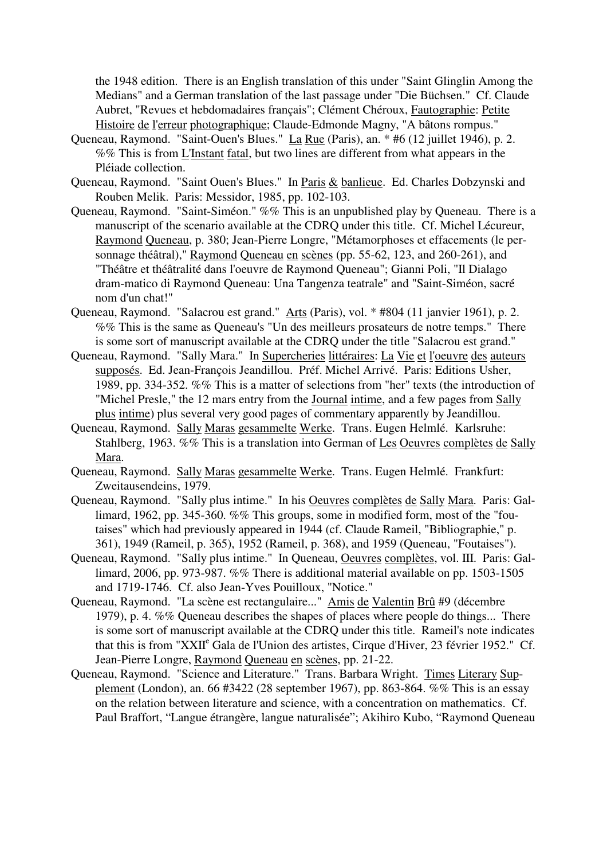the 1948 edition. There is an English translation of this under "Saint Glinglin Among the Medians" and a German translation of the last passage under "Die Büchsen." Cf. Claude Aubret, "Revues et hebdomadaires français"; Clément Chéroux, Fautographie: Petite Histoire de l'erreur photographique; Claude-Edmonde Magny, "A bâtons rompus."

- Queneau, Raymond. "Saint-Ouen's Blues." La Rue (Paris), an. \* #6 (12 juillet 1946), p. 2. %% This is from L'Instant fatal, but two lines are different from what appears in the Pléiade collection.
- Queneau, Raymond. "Saint Ouen's Blues." In Paris & banlieue. Ed. Charles Dobzynski and Rouben Melik. Paris: Messidor, 1985, pp. 102-103.
- Queneau, Raymond. "Saint-Siméon." %% This is an unpublished play by Queneau. There is a manuscript of the scenario available at the CDRQ under this title. Cf. Michel Lécureur, Raymond Queneau, p. 380; Jean-Pierre Longre, "Métamorphoses et effacements (le personnage théâtral)," Raymond Queneau en scènes (pp. 55-62, 123, and 260-261), and "Théâtre et théâtralité dans l'oeuvre de Raymond Queneau"; Gianni Poli, "Il Dialago dram-matico di Raymond Queneau: Una Tangenza teatrale" and "Saint-Siméon, sacré nom d'un chat!"
- Queneau, Raymond. "Salacrou est grand." Arts (Paris), vol. \* #804 (11 janvier 1961), p. 2. %% This is the same as Queneau's "Un des meilleurs prosateurs de notre temps." There is some sort of manuscript available at the CDRQ under the title "Salacrou est grand."
- Queneau, Raymond. "Sally Mara." In Supercheries littéraires: La Vie et l'oeuvre des auteurs supposés. Ed. Jean-François Jeandillou. Préf. Michel Arrivé. Paris: Editions Usher, 1989, pp. 334-352. %% This is a matter of selections from "her" texts (the introduction of "Michel Presle," the 12 mars entry from the Journal intime, and a few pages from Sally plus intime) plus several very good pages of commentary apparently by Jeandillou.
- Queneau, Raymond. Sally Maras gesammelte Werke. Trans. Eugen Helmlé. Karlsruhe: Stahlberg, 1963. %% This is a translation into German of Les Oeuvres complètes de Sally Mara.
- Queneau, Raymond. Sally Maras gesammelte Werke. Trans. Eugen Helmlé. Frankfurt: Zweitausendeins, 1979.
- Queneau, Raymond. "Sally plus intime." In his Oeuvres complètes de Sally Mara. Paris: Gallimard, 1962, pp. 345-360. %% This groups, some in modified form, most of the "foutaises" which had previously appeared in 1944 (cf. Claude Rameil, "Bibliographie," p. 361), 1949 (Rameil, p. 365), 1952 (Rameil, p. 368), and 1959 (Queneau, "Foutaises").
- Queneau, Raymond. "Sally plus intime." In Queneau, Oeuvres complètes, vol. III. Paris: Gallimard, 2006, pp. 973-987. %% There is additional material available on pp. 1503-1505 and 1719-1746. Cf. also Jean-Yves Pouilloux, "Notice."
- Queneau, Raymond. "La scène est rectangulaire..." Amis de Valentin Brû #9 (décembre 1979), p. 4. %% Queneau describes the shapes of places where people do things... There is some sort of manuscript available at the CDRQ under this title. Rameil's note indicates that this is from "XXII<sup>e</sup> Gala de l'Union des artistes, Cirque d'Hiver, 23 février 1952." Cf. Jean-Pierre Longre, Raymond Queneau en scènes, pp. 21-22.
- Queneau, Raymond. "Science and Literature." Trans. Barbara Wright. Times Literary Supplement (London), an. 66 #3422 (28 september 1967), pp. 863-864. %% This is an essay on the relation between literature and science, with a concentration on mathematics. Cf. Paul Braffort, "Langue étrangère, langue naturalisée"; Akihiro Kubo, "Raymond Queneau